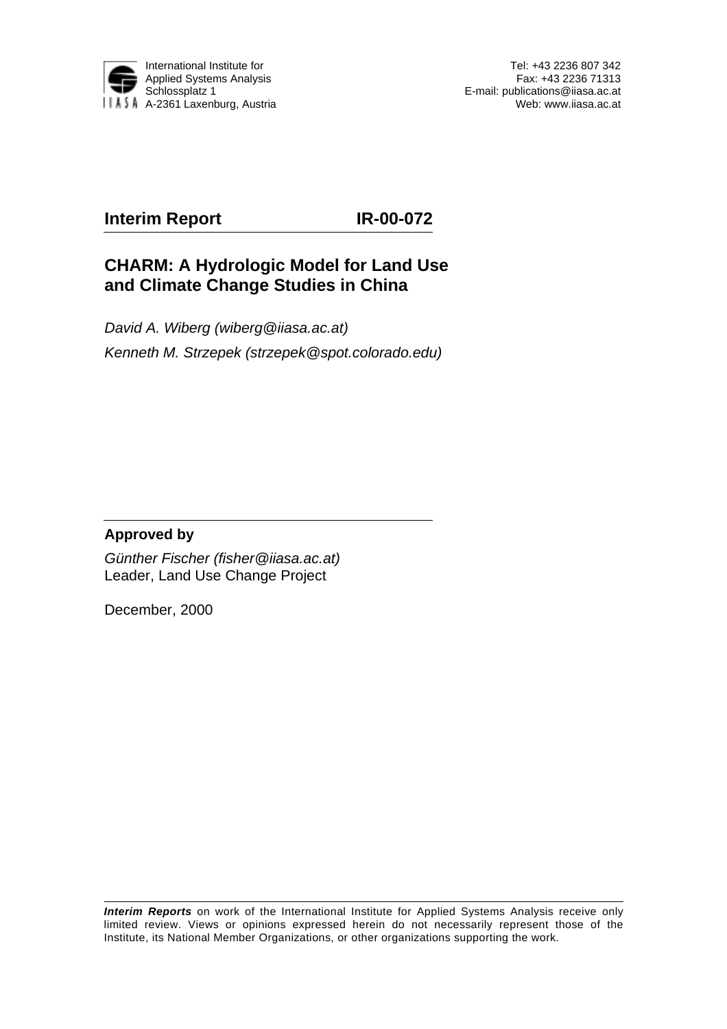

Tel: +43 2236 807 342 Fax: +43 2236 71313 E-mail: publications@iiasa.ac.at Web: www.iiasa.ac.at

# **Interim Report IR-00-072**

# **CHARM: A Hydrologic Model for Land Use and Climate Change Studies in China**

David A. Wiberg (wiberg@iiasa.ac.at) Kenneth M. Strzepek (strzepek@spot.colorado.edu)

## **Approved by**

Günther Fischer (fisher@iiasa.ac.at) Leader, Land Use Change Project

December, 2000

**Interim Reports** on work of the International Institute for Applied Systems Analysis receive only limited review. Views or opinions expressed herein do not necessarily represent those of the Institute, its National Member Organizations, or other organizations supporting the work.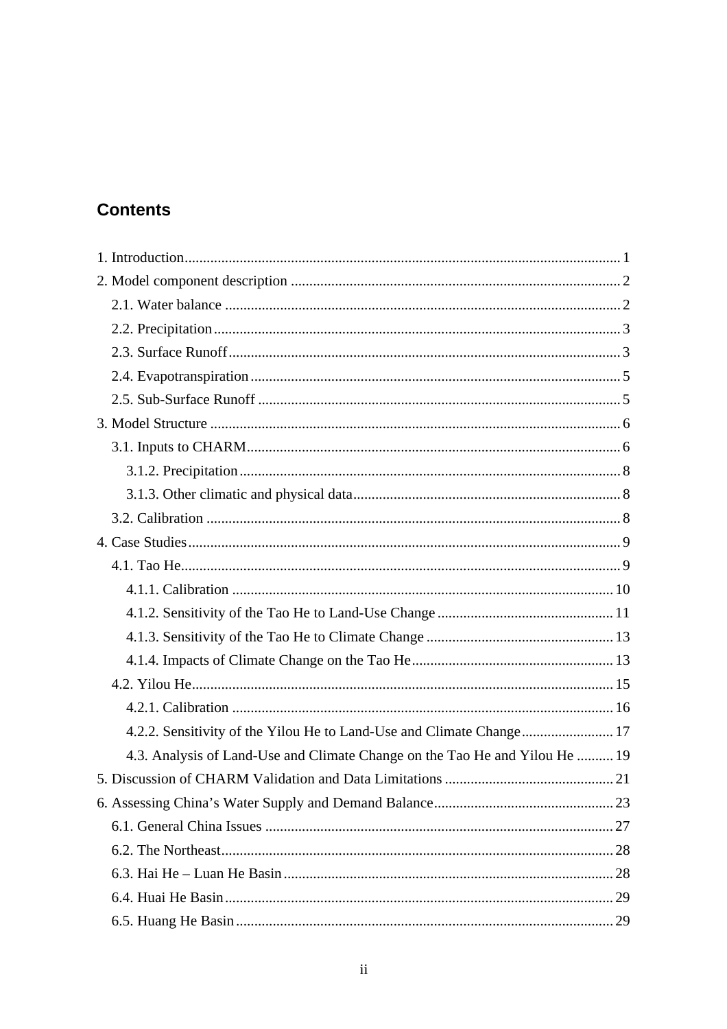# **Contents**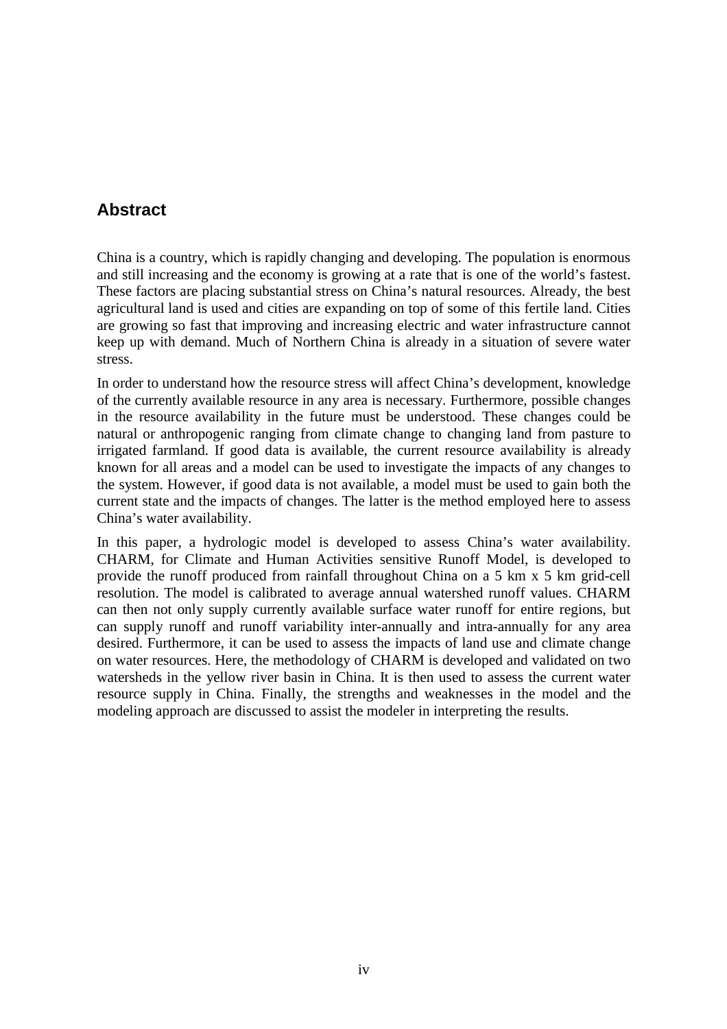# **Abstract**

China is a country, which is rapidly changing and developing. The population is enormous and still increasing and the economy is growing at a rate that is one of the world's fastest. These factors are placing substantial stress on China's natural resources. Already, the best agricultural land is used and cities are expanding on top of some of this fertile land. Cities are growing so fast that improving and increasing electric and water infrastructure cannot keep up with demand. Much of Northern China is already in a situation of severe water stress.

In order to understand how the resource stress will affect China's development, knowledge of the currently available resource in any area is necessary. Furthermore, possible changes in the resource availability in the future must be understood. These changes could be natural or anthropogenic ranging from climate change to changing land from pasture to irrigated farmland. If good data is available, the current resource availability is already known for all areas and a model can be used to investigate the impacts of any changes to the system. However, if good data is not available, a model must be used to gain both the current state and the impacts of changes. The latter is the method employed here to assess China's water availability.

In this paper, a hydrologic model is developed to assess China's water availability. CHARM, for Climate and Human Activities sensitive Runoff Model, is developed to provide the runoff produced from rainfall throughout China on a 5 km x 5 km grid-cell resolution. The model is calibrated to average annual watershed runoff values. CHARM can then not only supply currently available surface water runoff for entire regions, but can supply runoff and runoff variability inter-annually and intra-annually for any area desired. Furthermore, it can be used to assess the impacts of land use and climate change on water resources. Here, the methodology of CHARM is developed and validated on two watersheds in the yellow river basin in China. It is then used to assess the current water resource supply in China. Finally, the strengths and weaknesses in the model and the modeling approach are discussed to assist the modeler in interpreting the results.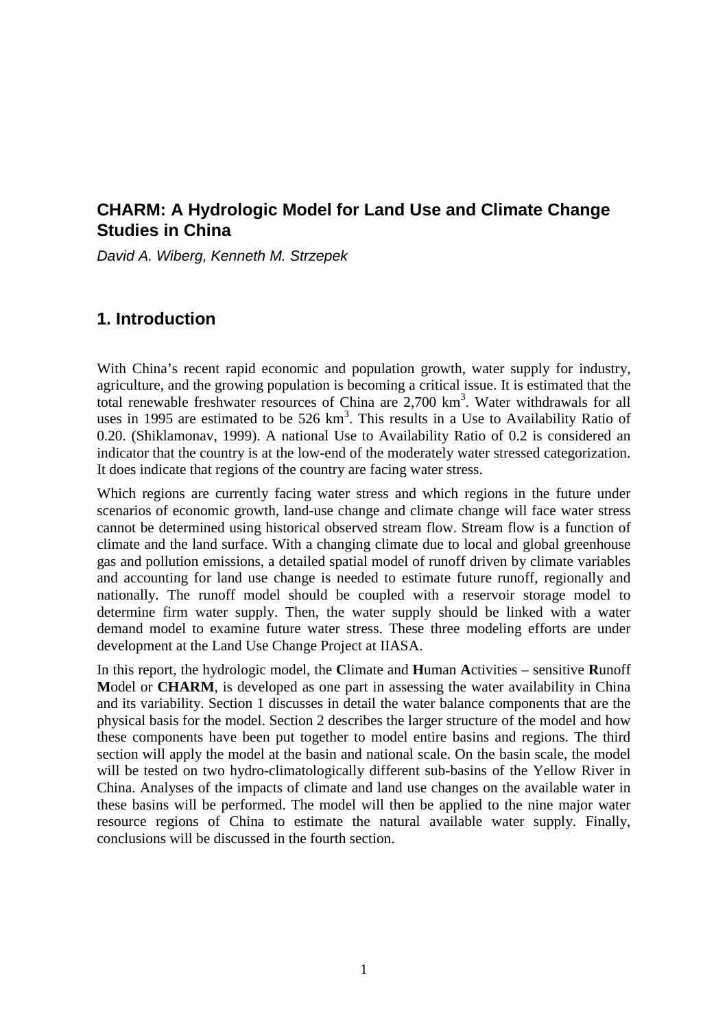# **CHARM: A Hydrologic Model for Land Use and Climate Change Studies in China**

David A. Wiberg, Kenneth M. Strzepek

# **1. Introduction**

With China's recent rapid economic and population growth, water supply for industry, agriculture, and the growing population is becoming a critical issue. It is estimated that the total renewable freshwater resources of China are 2,700 km<sup>3</sup>. Water withdrawals for all uses in 1995 are estimated to be  $526 \text{ km}^3$ . This results in a Use to Availability Ratio of 0.20. (Shiklamonav, 1999). A national Use to Availability Ratio of 0.2 is considered an indicator that the country is at the low-end of the moderately water stressed categorization. It does indicate that regions of the country are facing water stress.

Which regions are currently facing water stress and which regions in the future under scenarios of economic growth, land-use change and climate change will face water stress cannot be determined using historical observed stream flow. Stream flow is a function of climate and the land surface. With a changing climate due to local and global greenhouse gas and pollution emissions, a detailed spatial model of runoff driven by climate variables and accounting for land use change is needed to estimate future runoff, regionally and nationally. The runoff model should be coupled with a reservoir storage model to determine firm water supply. Then, the water supply should be linked with a water demand model to examine future water stress. These three modeling efforts are under development at the Land Use Change Project at IIASA.

In this report, the hydrologic model, the **C**limate and **H**uman **A**ctivities – sensitive **R**unoff **M**odel or **CHARM**, is developed as one part in assessing the water availability in China and its variability. Section 1 discusses in detail the water balance components that are the physical basis for the model. Section 2 describes the larger structure of the model and how these components have been put together to model entire basins and regions. The third section will apply the model at the basin and national scale. On the basin scale, the model will be tested on two hydro-climatologically different sub-basins of the Yellow River in China. Analyses of the impacts of climate and land use changes on the available water in these basins will be performed. The model will then be applied to the nine major water resource regions of China to estimate the natural available water supply. Finally, conclusions will be discussed in the fourth section.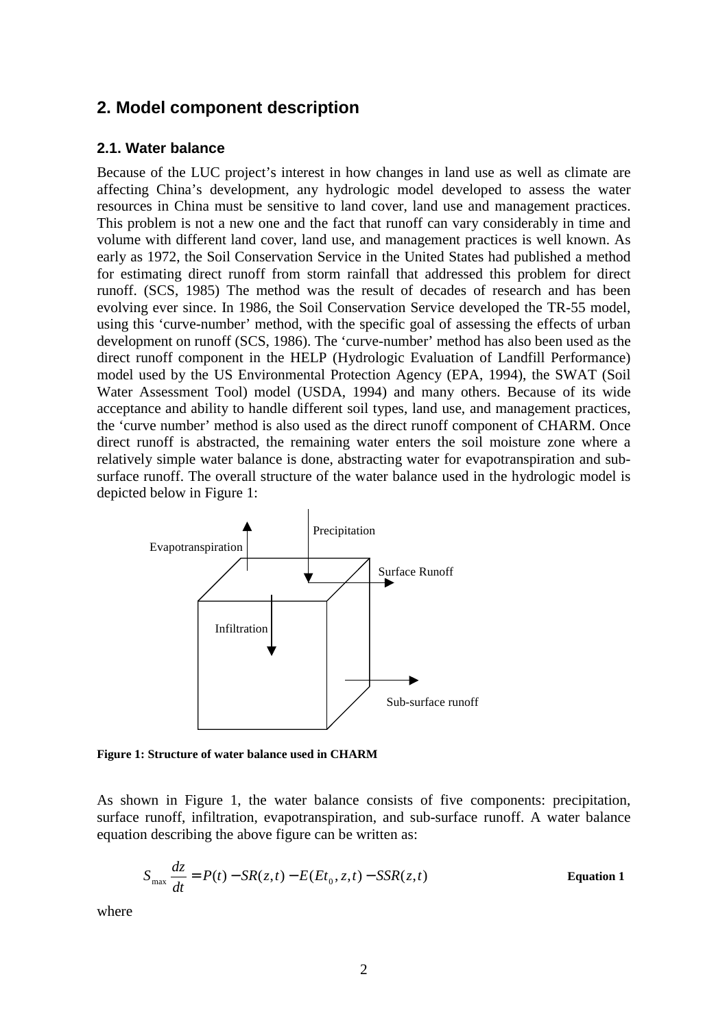# **2. Model component description**

#### **2.1. Water balance**

Because of the LUC project's interest in how changes in land use as well as climate are affecting China's development, any hydrologic model developed to assess the water resources in China must be sensitive to land cover, land use and management practices. This problem is not a new one and the fact that runoff can vary considerably in time and volume with different land cover, land use, and management practices is well known. As early as 1972, the Soil Conservation Service in the United States had published a method for estimating direct runoff from storm rainfall that addressed this problem for direct runoff. (SCS, 1985) The method was the result of decades of research and has been evolving ever since. In 1986, the Soil Conservation Service developed the TR-55 model, using this 'curve-number' method, with the specific goal of assessing the effects of urban development on runoff (SCS, 1986). The 'curve-number' method has also been used as the direct runoff component in the HELP (Hydrologic Evaluation of Landfill Performance) model used by the US Environmental Protection Agency (EPA, 1994), the SWAT (Soil Water Assessment Tool) model (USDA, 1994) and many others. Because of its wide acceptance and ability to handle different soil types, land use, and management practices, the 'curve number' method is also used as the direct runoff component of CHARM. Once direct runoff is abstracted, the remaining water enters the soil moisture zone where a relatively simple water balance is done, abstracting water for evapotranspiration and subsurface runoff. The overall structure of the water balance used in the hydrologic model is depicted below in Figure 1:



**Figure 1: Structure of water balance used in CHARM**

As shown in Figure 1, the water balance consists of five components: precipitation, surface runoff, infiltration, evapotranspiration, and sub-surface runoff. A water balance equation describing the above figure can be written as:

$$
S_{\text{max}} \frac{dz}{dt} = P(t) - SR(z, t) - E(Et_0, z, t) - SSR(z, t)
$$
 Equation 1

where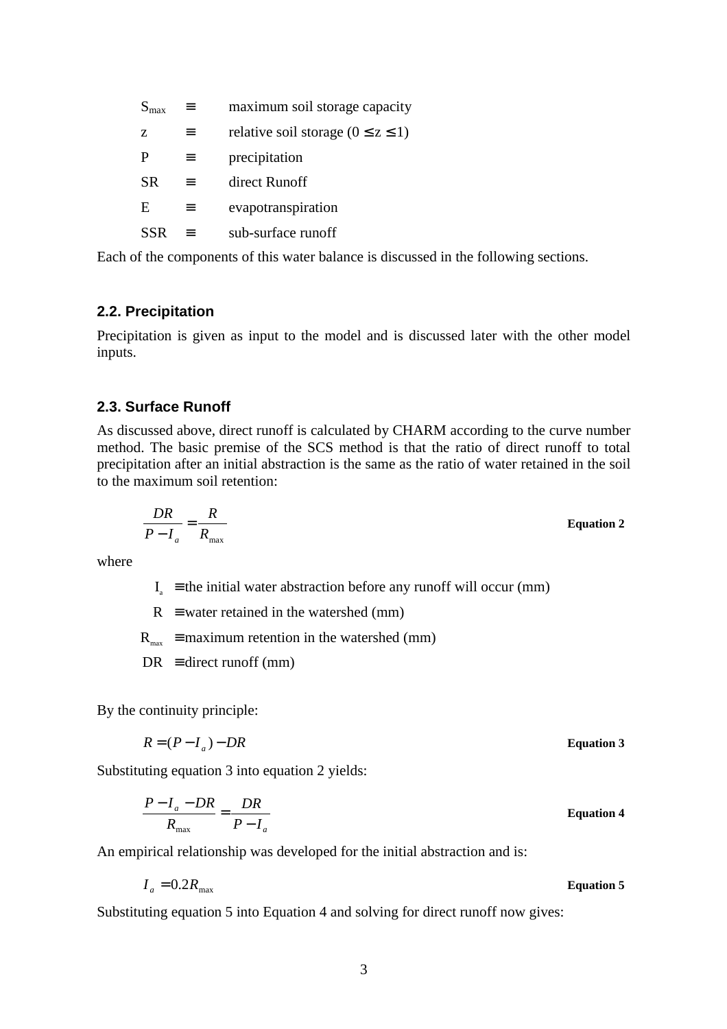| $S_{\text{max}}$ | ≡        | maximum soil storage capacity             |
|------------------|----------|-------------------------------------------|
| Z.               |          | relative soil storage ( $0 \le z \le 1$ ) |
| P                | $\equiv$ | precipitation                             |
| <b>SR</b>        | $\equiv$ | direct Runoff                             |
| E                | $\equiv$ | evapotranspiration                        |
| SSR              |          | sub-surface runoff                        |

Each of the components of this water balance is discussed in the following sections.

## **2.2. Precipitation**

Precipitation is given as input to the model and is discussed later with the other model inputs.

#### **2.3. Surface Runoff**

As discussed above, direct runoff is calculated by CHARM according to the curve number method. The basic premise of the SCS method is that the ratio of direct runoff to total precipitation after an initial abstraction is the same as the ratio of water retained in the soil to the maximum soil retention:

$$
\frac{DR}{P - I_a} = \frac{R}{R_{\text{max}}}
$$
 Equation 2

where

 $I<sub>a</sub>$  ≡ the initial water abstraction before any runoff will occur (mm)

 $R \equiv$  water retained in the watershed (mm)

 $R_{\text{max}}$  ≡ maximum retention in the watershed (mm)

 $DR \equiv$  direct runoff (mm)

By the continuity principle:

$$
R = (P - I_a) - DR
$$
 Equation 3

Substituting equation 3 into equation 2 yields:

$$
\frac{P - I_a - DR}{R_{\text{max}}} = \frac{DR}{P - I_a}
$$
 Equation 4

An empirical relationship was developed for the initial abstraction and is:

$$
I_a = 0.2R_{\text{max}} \qquad \qquad \text{Equation 5}
$$

Substituting equation 5 into Equation 4 and solving for direct runoff now gives: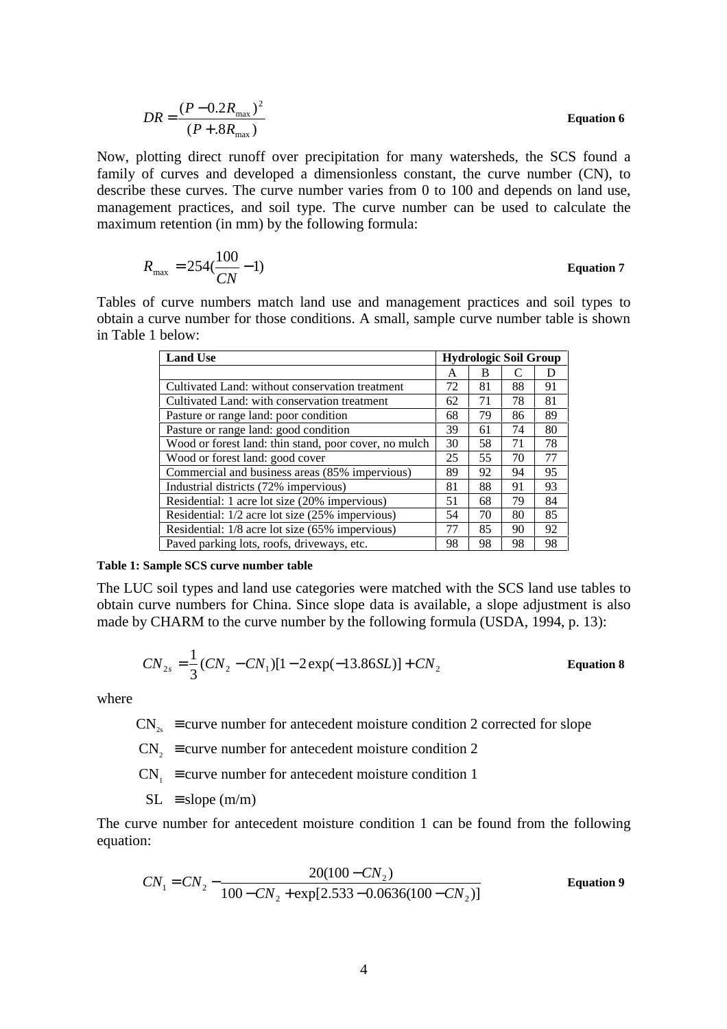$$
DR = \frac{(P - 0.2R_{\text{max}})^2}{(P + .8R_{\text{max}})}
$$
 Equation 6

Now, plotting direct runoff over precipitation for many watersheds, the SCS found a family of curves and developed a dimensionless constant, the curve number (CN), to describe these curves. The curve number varies from 0 to 100 and depends on land use, management practices, and soil type. The curve number can be used to calculate the maximum retention (in mm) by the following formula:

$$
R_{\text{max}} = 254(\frac{100}{CN} - 1)
$$
 Equation 7

Tables of curve numbers match land use and management practices and soil types to obtain a curve number for those conditions. A small, sample curve number table is shown in Table 1 below:

| <b>Land Use</b>                                       | <b>Hydrologic Soil Group</b> |    |    |    |  |
|-------------------------------------------------------|------------------------------|----|----|----|--|
|                                                       | A                            | В  |    | Ð  |  |
| Cultivated Land: without conservation treatment       | 72                           | 81 | 88 | 91 |  |
| Cultivated Land: with conservation treatment          | 62                           | 71 | 78 | 81 |  |
| Pasture or range land: poor condition                 | 68                           | 79 | 86 | 89 |  |
| Pasture or range land: good condition                 | 39                           | 61 | 74 | 80 |  |
| Wood or forest land: thin stand, poor cover, no mulch | 30                           | 58 | 71 | 78 |  |
| Wood or forest land: good cover                       | 25                           | 55 | 70 | 77 |  |
| Commercial and business areas (85% impervious)        | 89                           | 92 | 94 | 95 |  |
| Industrial districts (72% impervious)                 | 81                           | 88 | 91 | 93 |  |
| Residential: 1 acre lot size (20% impervious)         | 51                           | 68 | 79 | 84 |  |
| Residential: 1/2 acre lot size (25% impervious)       | 54                           | 70 | 80 | 85 |  |
| Residential: 1/8 acre lot size (65% impervious)       | 77                           | 85 | 90 | 92 |  |
| Paved parking lots, roofs, driveways, etc.            | 98                           | 98 | 98 | 98 |  |

#### **Table 1: Sample SCS curve number table**

The LUC soil types and land use categories were matched with the SCS land use tables to obtain curve numbers for China. Since slope data is available, a slope adjustment is also made by CHARM to the curve number by the following formula (USDA, 1994, p. 13):

$$
CN_{2s} = \frac{1}{3}(CN_2 - CN_1)[1 - 2\exp(-13.86SL)] + CN_2
$$
 Equation 8

where

 $CN_{2s}$  ≡ curve number for antecedent moisture condition 2 corrected for slope

 $CN_2$  ≡ curve number for antecedent moisture condition 2

 $CN_1 \equiv$  curve number for antecedent moisture condition 1

 $SL$  = slope (m/m)

The curve number for antecedent moisture condition 1 can be found from the following equation:

$$
CN_1 = CN_2 - \frac{20(100 - CN_2)}{100 - CN_2 + \exp[2.533 - 0.0636(100 - CN_2)]}
$$
 Equation 9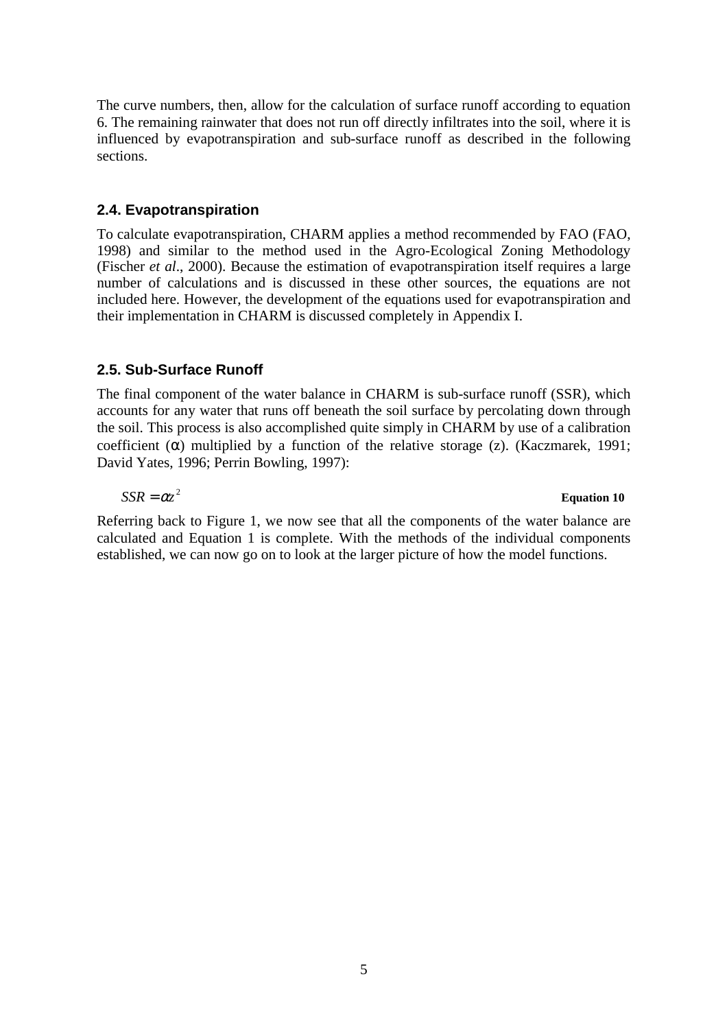The curve numbers, then, allow for the calculation of surface runoff according to equation 6. The remaining rainwater that does not run off directly infiltrates into the soil, where it is influenced by evapotranspiration and sub-surface runoff as described in the following sections.

#### **2.4. Evapotranspiration**

To calculate evapotranspiration, CHARM applies a method recommended by FAO (FAO, 1998) and similar to the method used in the Agro-Ecological Zoning Methodology (Fischer *et al*., 2000). Because the estimation of evapotranspiration itself requires a large number of calculations and is discussed in these other sources, the equations are not included here. However, the development of the equations used for evapotranspiration and their implementation in CHARM is discussed completely in Appendix I.

## **2.5. Sub-Surface Runoff**

The final component of the water balance in CHARM is sub-surface runoff (SSR), which accounts for any water that runs off beneath the soil surface by percolating down through the soil. This process is also accomplished quite simply in CHARM by use of a calibration coefficient  $(\alpha)$  multiplied by a function of the relative storage (z). (Kaczmarek, 1991; David Yates, 1996; Perrin Bowling, 1997):

#### $SSR = \alpha z^2$  **Equation 10**

Referring back to Figure 1, we now see that all the components of the water balance are calculated and Equation 1 is complete. With the methods of the individual components established, we can now go on to look at the larger picture of how the model functions.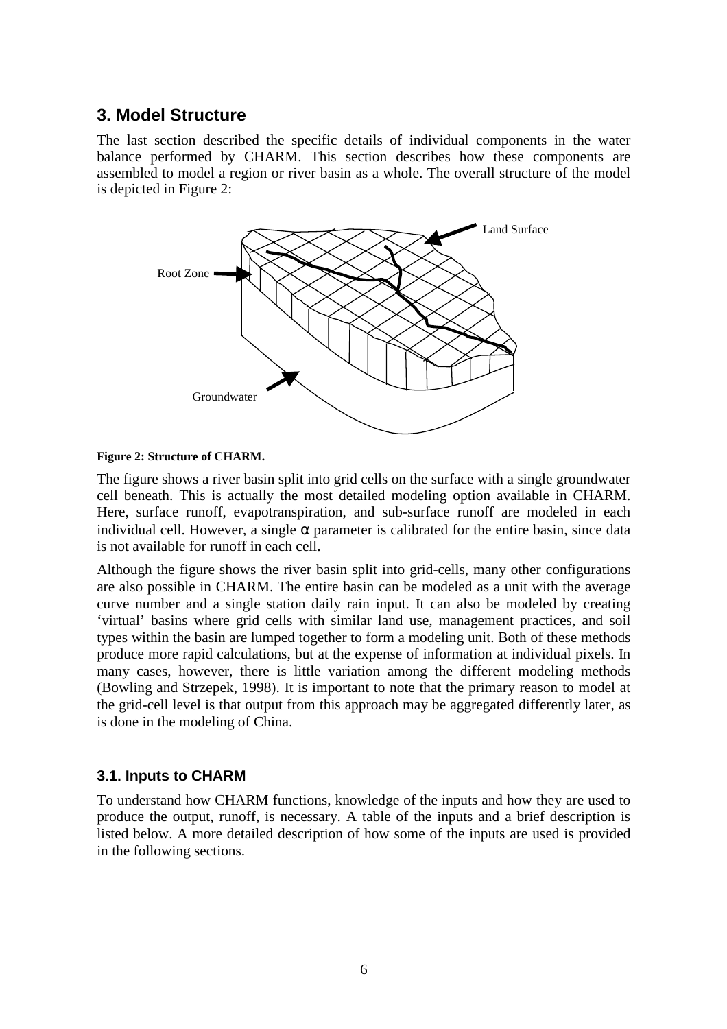## **3. Model Structure**

The last section described the specific details of individual components in the water balance performed by CHARM. This section describes how these components are assembled to model a region or river basin as a whole. The overall structure of the model is depicted in Figure 2:



#### **Figure 2: Structure of CHARM.**

The figure shows a river basin split into grid cells on the surface with a single groundwater cell beneath. This is actually the most detailed modeling option available in CHARM. Here, surface runoff, evapotranspiration, and sub-surface runoff are modeled in each individual cell. However, a single  $\alpha$  parameter is calibrated for the entire basin, since data is not available for runoff in each cell.

Although the figure shows the river basin split into grid-cells, many other configurations are also possible in CHARM. The entire basin can be modeled as a unit with the average curve number and a single station daily rain input. It can also be modeled by creating 'virtual' basins where grid cells with similar land use, management practices, and soil types within the basin are lumped together to form a modeling unit. Both of these methods produce more rapid calculations, but at the expense of information at individual pixels. In many cases, however, there is little variation among the different modeling methods (Bowling and Strzepek, 1998). It is important to note that the primary reason to model at the grid-cell level is that output from this approach may be aggregated differently later, as is done in the modeling of China.

## **3.1. Inputs to CHARM**

To understand how CHARM functions, knowledge of the inputs and how they are used to produce the output, runoff, is necessary. A table of the inputs and a brief description is listed below. A more detailed description of how some of the inputs are used is provided in the following sections.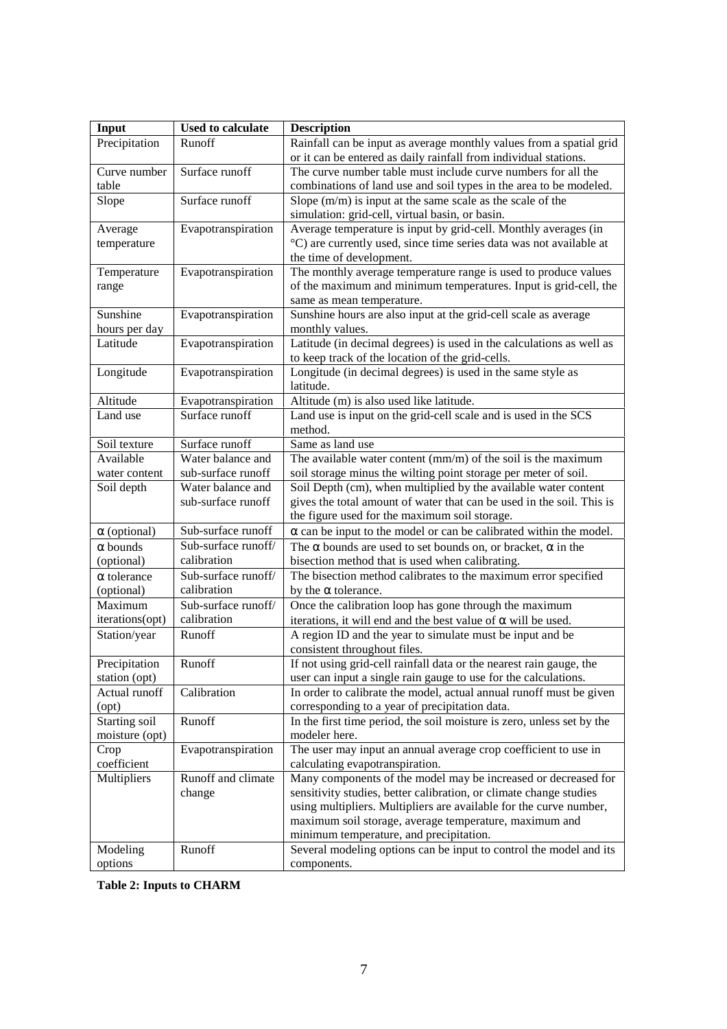| Input                 | <b>Used to calculate</b>           | <b>Description</b>                                                                          |
|-----------------------|------------------------------------|---------------------------------------------------------------------------------------------|
| Precipitation         | Runoff                             | Rainfall can be input as average monthly values from a spatial grid                         |
|                       |                                    | or it can be entered as daily rainfall from individual stations.                            |
| Curve number          | Surface runoff                     | The curve number table must include curve numbers for all the                               |
| table                 |                                    | combinations of land use and soil types in the area to be modeled.                          |
| Slope                 | Surface runoff                     | Slope $(m/m)$ is input at the same scale as the scale of the                                |
|                       |                                    | simulation: grid-cell, virtual basin, or basin.                                             |
| Average               | Evapotranspiration                 | Average temperature is input by grid-cell. Monthly averages (in                             |
| temperature           |                                    | °C) are currently used, since time series data was not available at                         |
|                       | Evapotranspiration                 | the time of development.<br>The monthly average temperature range is used to produce values |
| Temperature<br>range  |                                    | of the maximum and minimum temperatures. Input is grid-cell, the                            |
|                       |                                    | same as mean temperature.                                                                   |
| Sunshine              | Evapotranspiration                 | Sunshine hours are also input at the grid-cell scale as average                             |
| hours per day         |                                    | monthly values.                                                                             |
| Latitude              | Evapotranspiration                 | Latitude (in decimal degrees) is used in the calculations as well as                        |
|                       |                                    | to keep track of the location of the grid-cells.                                            |
| Longitude             | Evapotranspiration                 | Longitude (in decimal degrees) is used in the same style as                                 |
|                       |                                    | latitude.                                                                                   |
| Altitude              | Evapotranspiration                 | Altitude (m) is also used like latitude.                                                    |
| Land use              | Surface runoff                     | Land use is input on the grid-cell scale and is used in the SCS                             |
|                       |                                    | method.                                                                                     |
| Soil texture          | Surface runoff                     | Same as land use                                                                            |
| Available             | Water balance and                  | The available water content $(mm/m)$ of the soil is the maximum                             |
| water content         | sub-surface runoff                 | soil storage minus the wilting point storage per meter of soil.                             |
| Soil depth            | Water balance and                  | Soil Depth (cm), when multiplied by the available water content                             |
|                       | sub-surface runoff                 | gives the total amount of water that can be used in the soil. This is                       |
|                       |                                    | the figure used for the maximum soil storage.                                               |
| $\alpha$ (optional)   | Sub-surface runoff                 | $\alpha$ can be input to the model or can be calibrated within the model.                   |
| $\alpha$ bounds       | Sub-surface runoff/                | The $\alpha$ bounds are used to set bounds on, or bracket, $\alpha$ in the                  |
| (optional)            | calibration                        | bisection method that is used when calibrating.                                             |
| $\alpha$ tolerance    | Sub-surface runoff/<br>calibration | The bisection method calibrates to the maximum error specified                              |
| (optional)<br>Maximum | Sub-surface runoff/                | by the $\alpha$ tolerance.                                                                  |
| iterations(opt)       | calibration                        | Once the calibration loop has gone through the maximum                                      |
|                       |                                    | iterations, it will end and the best value of $\alpha$ will be used.                        |
| Station/year          | Runoff                             | A region ID and the year to simulate must be input and be<br>consistent throughout files.   |
| Precipitation         | Runoff                             | If not using grid-cell rainfall data or the nearest rain gauge, the                         |
| station (opt)         |                                    | user can input a single rain gauge to use for the calculations.                             |
| Actual runoff         | Calibration                        | In order to calibrate the model, actual annual runoff must be given                         |
| (opt)                 |                                    | corresponding to a year of precipitation data.                                              |
| Starting soil         | Runoff                             | In the first time period, the soil moisture is zero, unless set by the                      |
| moisture (opt)        |                                    | modeler here.                                                                               |
| Crop                  | Evapotranspiration                 | The user may input an annual average crop coefficient to use in                             |
| coefficient           |                                    | calculating evapotranspiration.                                                             |
| Multipliers           | Runoff and climate                 | Many components of the model may be increased or decreased for                              |
|                       | change                             | sensitivity studies, better calibration, or climate change studies                          |
|                       |                                    | using multipliers. Multipliers are available for the curve number,                          |
|                       |                                    | maximum soil storage, average temperature, maximum and                                      |
|                       |                                    | minimum temperature, and precipitation.                                                     |
| Modeling              | Runoff                             | Several modeling options can be input to control the model and its                          |
| options               |                                    | components.                                                                                 |

**Table 2: Inputs to CHARM**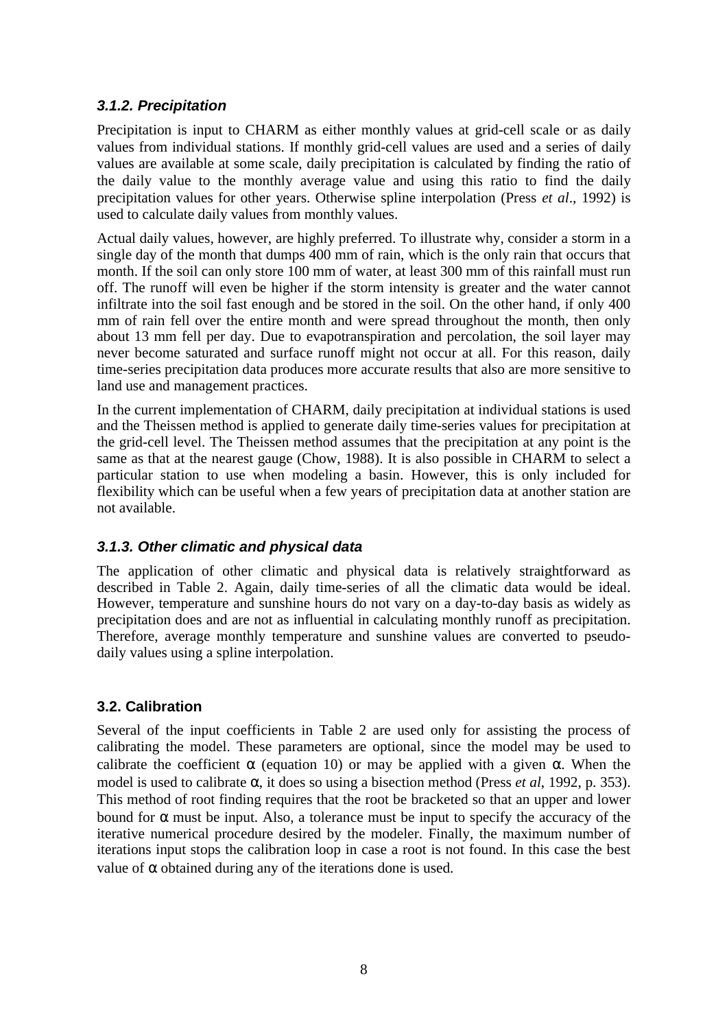## **3.1.2. Precipitation**

Precipitation is input to CHARM as either monthly values at grid-cell scale or as daily values from individual stations. If monthly grid-cell values are used and a series of daily values are available at some scale, daily precipitation is calculated by finding the ratio of the daily value to the monthly average value and using this ratio to find the daily precipitation values for other years. Otherwise spline interpolation (Press *et al*., 1992) is used to calculate daily values from monthly values.

Actual daily values, however, are highly preferred. To illustrate why, consider a storm in a single day of the month that dumps 400 mm of rain, which is the only rain that occurs that month. If the soil can only store 100 mm of water, at least 300 mm of this rainfall must run off. The runoff will even be higher if the storm intensity is greater and the water cannot infiltrate into the soil fast enough and be stored in the soil. On the other hand, if only 400 mm of rain fell over the entire month and were spread throughout the month, then only about 13 mm fell per day. Due to evapotranspiration and percolation, the soil layer may never become saturated and surface runoff might not occur at all. For this reason, daily time-series precipitation data produces more accurate results that also are more sensitive to land use and management practices.

In the current implementation of CHARM, daily precipitation at individual stations is used and the Theissen method is applied to generate daily time-series values for precipitation at the grid-cell level. The Theissen method assumes that the precipitation at any point is the same as that at the nearest gauge (Chow, 1988). It is also possible in CHARM to select a particular station to use when modeling a basin. However, this is only included for flexibility which can be useful when a few years of precipitation data at another station are not available.

## **3.1.3. Other climatic and physical data**

The application of other climatic and physical data is relatively straightforward as described in Table 2. Again, daily time-series of all the climatic data would be ideal. However, temperature and sunshine hours do not vary on a day-to-day basis as widely as precipitation does and are not as influential in calculating monthly runoff as precipitation. Therefore, average monthly temperature and sunshine values are converted to pseudodaily values using a spline interpolation.

## **3.2. Calibration**

Several of the input coefficients in Table 2 are used only for assisting the process of calibrating the model. These parameters are optional, since the model may be used to calibrate the coefficient  $\alpha$  (equation 10) or may be applied with a given  $\alpha$ . When the model is used to calibrate α, it does so using a bisection method (Press *et al*, 1992, p. 353). This method of root finding requires that the root be bracketed so that an upper and lower bound for  $\alpha$  must be input. Also, a tolerance must be input to specify the accuracy of the iterative numerical procedure desired by the modeler. Finally, the maximum number of iterations input stops the calibration loop in case a root is not found. In this case the best value of  $\alpha$  obtained during any of the iterations done is used.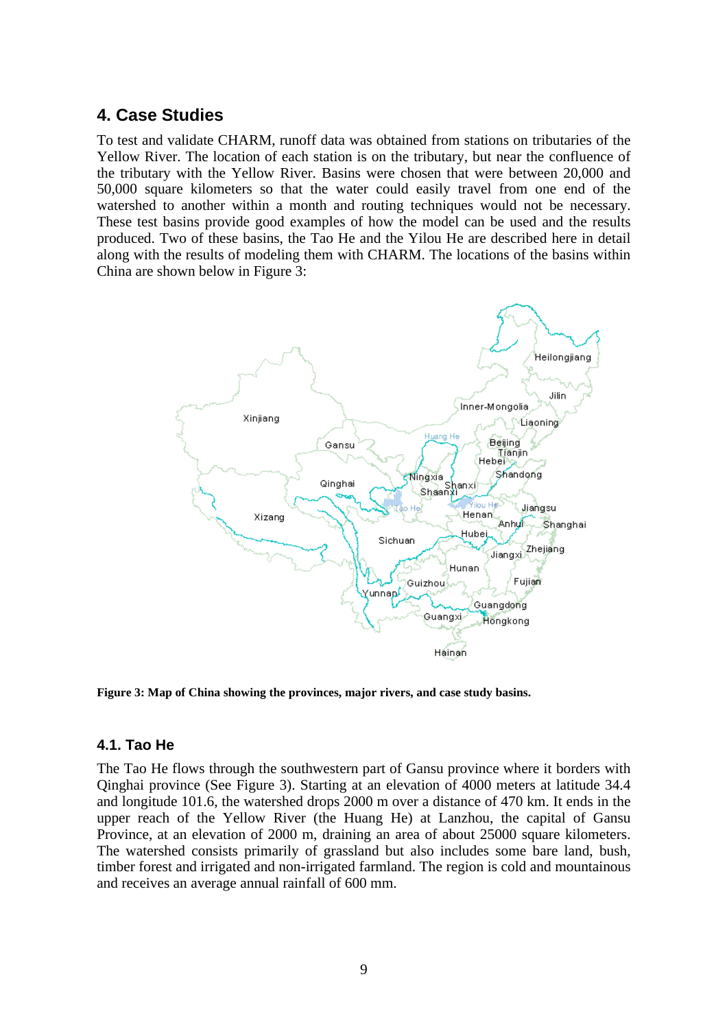## **4. Case Studies**

To test and validate CHARM, runoff data was obtained from stations on tributaries of the Yellow River. The location of each station is on the tributary, but near the confluence of the tributary with the Yellow River. Basins were chosen that were between 20,000 and 50,000 square kilometers so that the water could easily travel from one end of the watershed to another within a month and routing techniques would not be necessary. These test basins provide good examples of how the model can be used and the results produced. Two of these basins, the Tao He and the Yilou He are described here in detail along with the results of modeling them with CHARM. The locations of the basins within China are shown below in Figure 3:



**Figure 3: Map of China showing the provinces, major rivers, and case study basins.**

#### **4.1. Tao He**

The Tao He flows through the southwestern part of Gansu province where it borders with Qinghai province (See Figure 3). Starting at an elevation of 4000 meters at latitude 34.4 and longitude 101.6, the watershed drops 2000 m over a distance of 470 km. It ends in the upper reach of the Yellow River (the Huang He) at Lanzhou, the capital of Gansu Province, at an elevation of 2000 m, draining an area of about 25000 square kilometers. The watershed consists primarily of grassland but also includes some bare land, bush, timber forest and irrigated and non-irrigated farmland. The region is cold and mountainous and receives an average annual rainfall of 600 mm.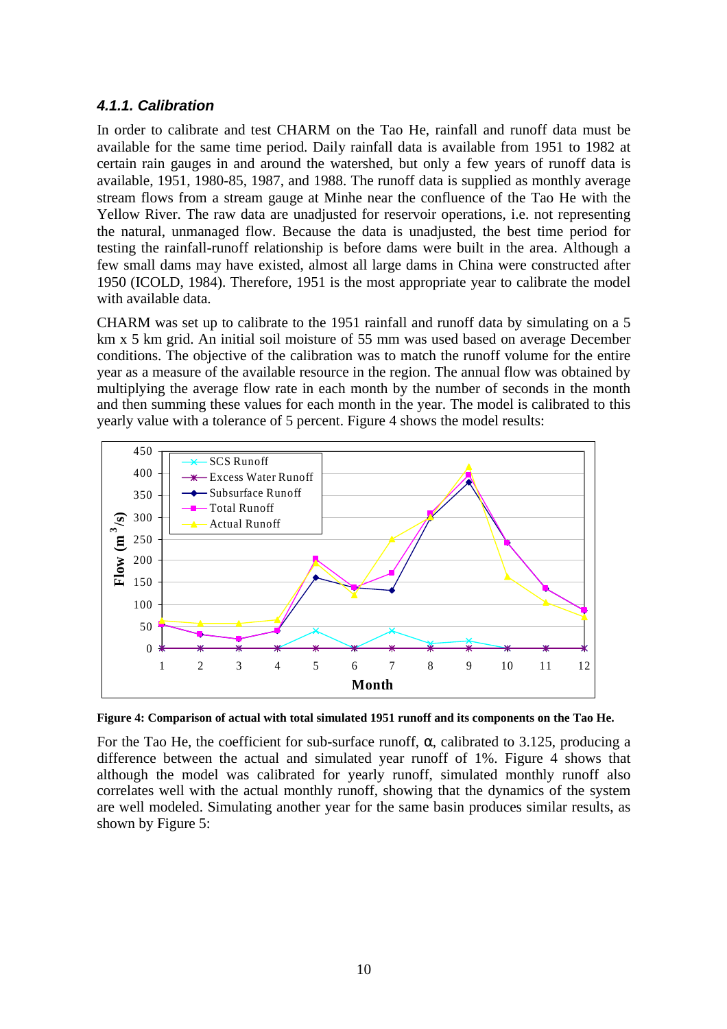## **4.1.1. Calibration**

In order to calibrate and test CHARM on the Tao He, rainfall and runoff data must be available for the same time period. Daily rainfall data is available from 1951 to 1982 at certain rain gauges in and around the watershed, but only a few years of runoff data is available, 1951, 1980-85, 1987, and 1988. The runoff data is supplied as monthly average stream flows from a stream gauge at Minhe near the confluence of the Tao He with the Yellow River. The raw data are unadjusted for reservoir operations, i.e. not representing the natural, unmanaged flow. Because the data is unadjusted, the best time period for testing the rainfall-runoff relationship is before dams were built in the area. Although a few small dams may have existed, almost all large dams in China were constructed after 1950 (ICOLD, 1984). Therefore, 1951 is the most appropriate year to calibrate the model with available data.

CHARM was set up to calibrate to the 1951 rainfall and runoff data by simulating on a 5 km x 5 km grid. An initial soil moisture of 55 mm was used based on average December conditions. The objective of the calibration was to match the runoff volume for the entire year as a measure of the available resource in the region. The annual flow was obtained by multiplying the average flow rate in each month by the number of seconds in the month and then summing these values for each month in the year. The model is calibrated to this yearly value with a tolerance of 5 percent. Figure 4 shows the model results:



**Figure 4: Comparison of actual with total simulated 1951 runoff and its components on the Tao He.**

For the Tao He, the coefficient for sub-surface runoff, α, calibrated to 3.125, producing a difference between the actual and simulated year runoff of 1%. Figure 4 shows that although the model was calibrated for yearly runoff, simulated monthly runoff also correlates well with the actual monthly runoff, showing that the dynamics of the system are well modeled. Simulating another year for the same basin produces similar results, as shown by Figure 5: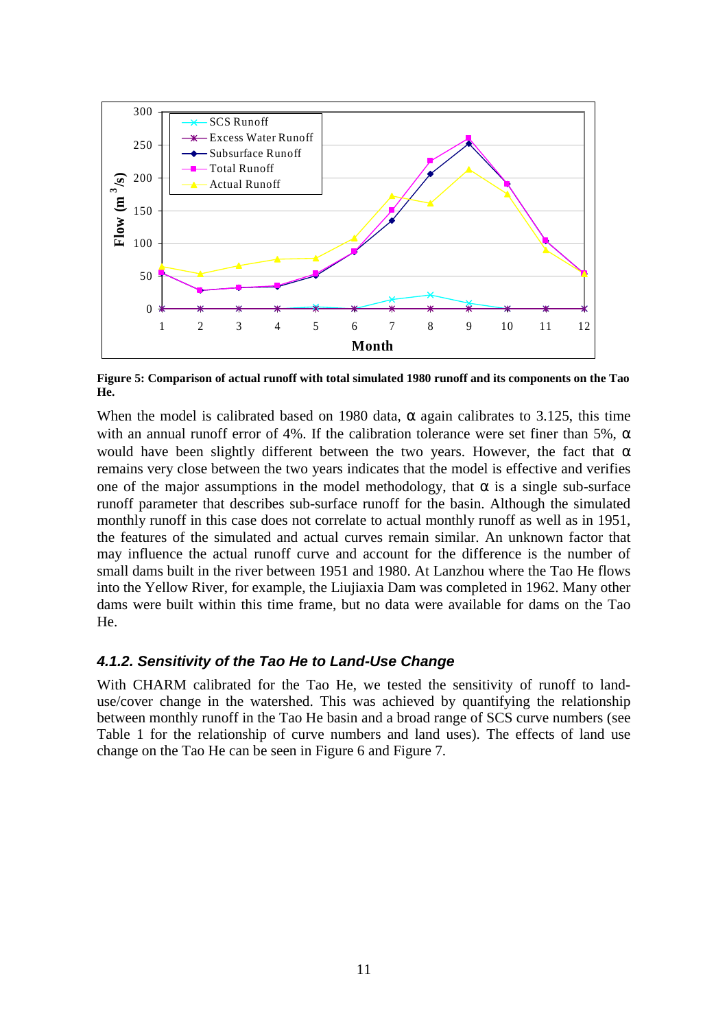

**Figure 5: Comparison of actual runoff with total simulated 1980 runoff and its components on the Tao He.**

When the model is calibrated based on 1980 data,  $\alpha$  again calibrates to 3.125, this time with an annual runoff error of 4%. If the calibration tolerance were set finer than 5%,  $\alpha$ would have been slightly different between the two years. However, the fact that  $\alpha$ remains very close between the two years indicates that the model is effective and verifies one of the major assumptions in the model methodology, that  $\alpha$  is a single sub-surface runoff parameter that describes sub-surface runoff for the basin. Although the simulated monthly runoff in this case does not correlate to actual monthly runoff as well as in 1951, the features of the simulated and actual curves remain similar. An unknown factor that may influence the actual runoff curve and account for the difference is the number of small dams built in the river between 1951 and 1980. At Lanzhou where the Tao He flows into the Yellow River, for example, the Liujiaxia Dam was completed in 1962. Many other dams were built within this time frame, but no data were available for dams on the Tao He.

## **4.1.2. Sensitivity of the Tao He to Land-Use Change**

With CHARM calibrated for the Tao He, we tested the sensitivity of runoff to landuse/cover change in the watershed. This was achieved by quantifying the relationship between monthly runoff in the Tao He basin and a broad range of SCS curve numbers (see Table 1 for the relationship of curve numbers and land uses). The effects of land use change on the Tao He can be seen in Figure 6 and Figure 7.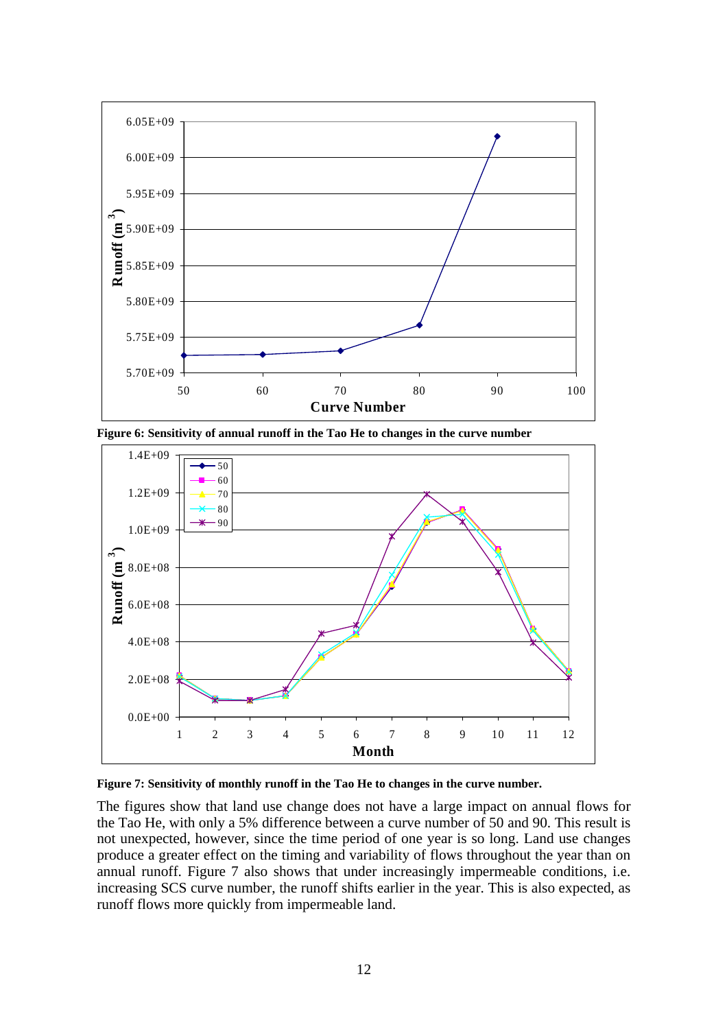

**Figure 6: Sensitivity of annual runoff in the Tao He to changes in the curve number**



**Figure 7: Sensitivity of monthly runoff in the Tao He to changes in the curve number.**

The figures show that land use change does not have a large impact on annual flows for the Tao He, with only a 5% difference between a curve number of 50 and 90. This result is not unexpected, however, since the time period of one year is so long. Land use changes produce a greater effect on the timing and variability of flows throughout the year than on annual runoff. Figure 7 also shows that under increasingly impermeable conditions, i.e. increasing SCS curve number, the runoff shifts earlier in the year. This is also expected, as runoff flows more quickly from impermeable land.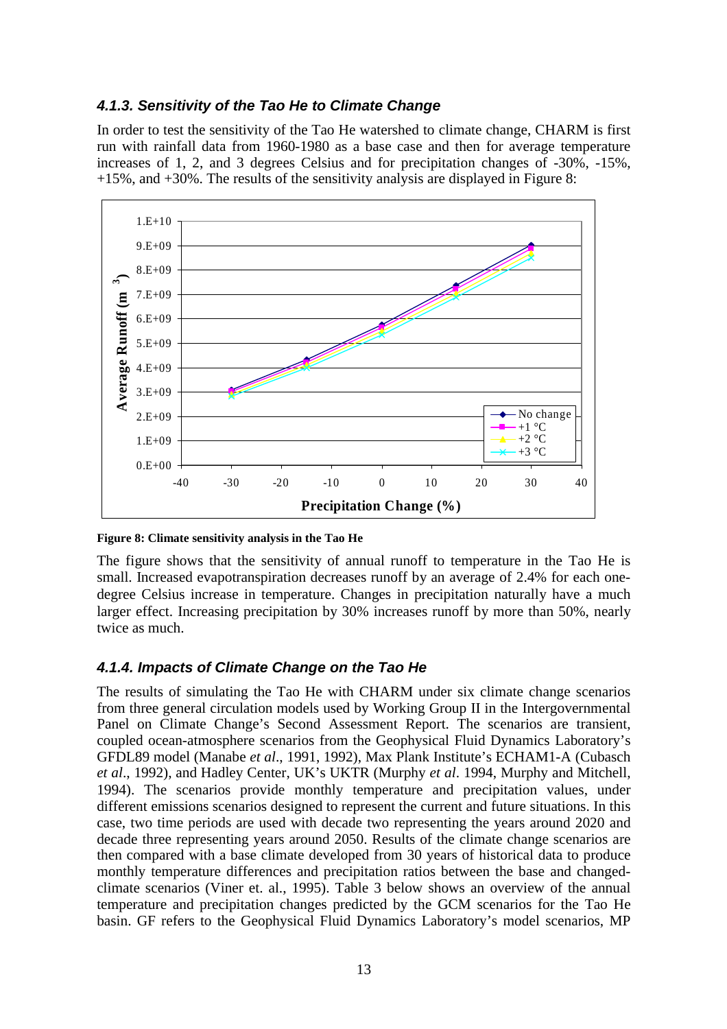### **4.1.3. Sensitivity of the Tao He to Climate Change**

In order to test the sensitivity of the Tao He watershed to climate change, CHARM is first run with rainfall data from 1960-1980 as a base case and then for average temperature increases of 1, 2, and 3 degrees Celsius and for precipitation changes of -30%, -15%, +15%, and +30%. The results of the sensitivity analysis are displayed in Figure 8:



**Figure 8: Climate sensitivity analysis in the Tao He**

The figure shows that the sensitivity of annual runoff to temperature in the Tao He is small. Increased evapotranspiration decreases runoff by an average of 2.4% for each onedegree Celsius increase in temperature. Changes in precipitation naturally have a much larger effect. Increasing precipitation by 30% increases runoff by more than 50%, nearly twice as much.

## **4.1.4. Impacts of Climate Change on the Tao He**

The results of simulating the Tao He with CHARM under six climate change scenarios from three general circulation models used by Working Group II in the Intergovernmental Panel on Climate Change's Second Assessment Report. The scenarios are transient, coupled ocean-atmosphere scenarios from the Geophysical Fluid Dynamics Laboratory's GFDL89 model (Manabe *et al*., 1991, 1992), Max Plank Institute's ECHAM1-A (Cubasch *et al*., 1992), and Hadley Center, UK's UKTR (Murphy *et al*. 1994, Murphy and Mitchell, 1994). The scenarios provide monthly temperature and precipitation values, under different emissions scenarios designed to represent the current and future situations. In this case, two time periods are used with decade two representing the years around 2020 and decade three representing years around 2050. Results of the climate change scenarios are then compared with a base climate developed from 30 years of historical data to produce monthly temperature differences and precipitation ratios between the base and changedclimate scenarios (Viner et. al., 1995). Table 3 below shows an overview of the annual temperature and precipitation changes predicted by the GCM scenarios for the Tao He basin. GF refers to the Geophysical Fluid Dynamics Laboratory's model scenarios, MP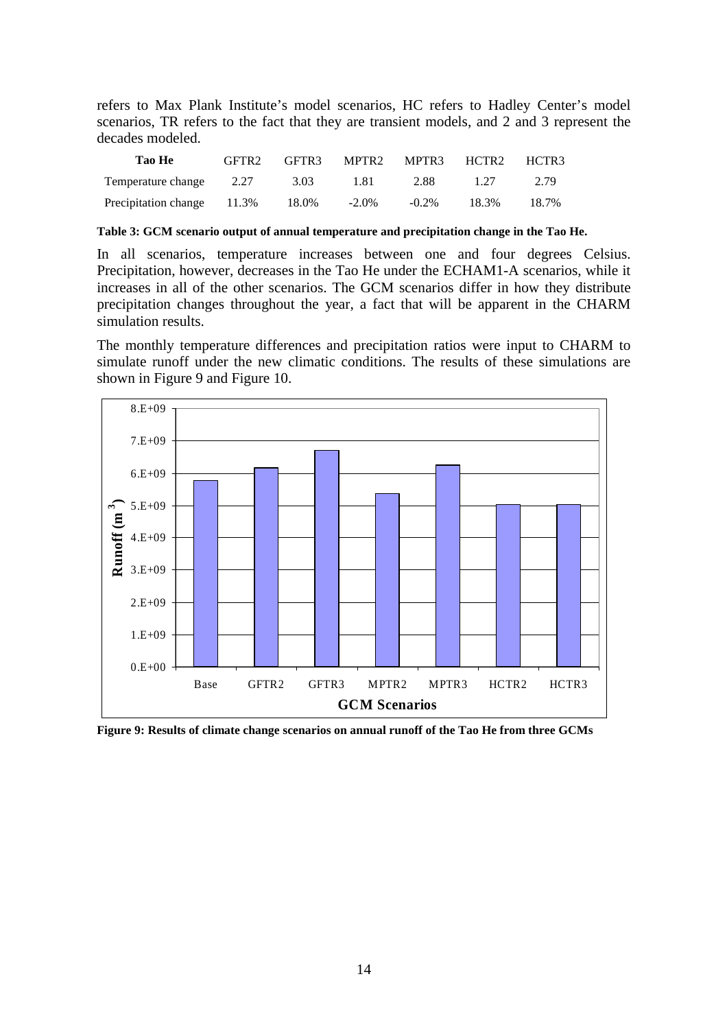refers to Max Plank Institute's model scenarios, HC refers to Hadley Center's model scenarios, TR refers to the fact that they are transient models, and 2 and 3 represent the decades modeled.

| Tao He                           | GFTR2 | GFTR3 |          | MPTR2 MPTR3 HCTR2 HCTR3 |       |       |
|----------------------------------|-------|-------|----------|-------------------------|-------|-------|
| Temperature change 2.27          |       | 3.03  | 1.81     | 2.88                    | 1 27  | 2.79  |
| Precipitation change 11.3% 18.0% |       |       | $-2.0\%$ | $-0.2\%$                | 18.3% | 18.7% |

**Table 3: GCM scenario output of annual temperature and precipitation change in the Tao He.**

In all scenarios, temperature increases between one and four degrees Celsius. Precipitation, however, decreases in the Tao He under the ECHAM1-A scenarios, while it increases in all of the other scenarios. The GCM scenarios differ in how they distribute precipitation changes throughout the year, a fact that will be apparent in the CHARM simulation results.

The monthly temperature differences and precipitation ratios were input to CHARM to simulate runoff under the new climatic conditions. The results of these simulations are shown in Figure 9 and Figure 10.



**Figure 9: Results of climate change scenarios on annual runoff of the Tao He from three GCMs**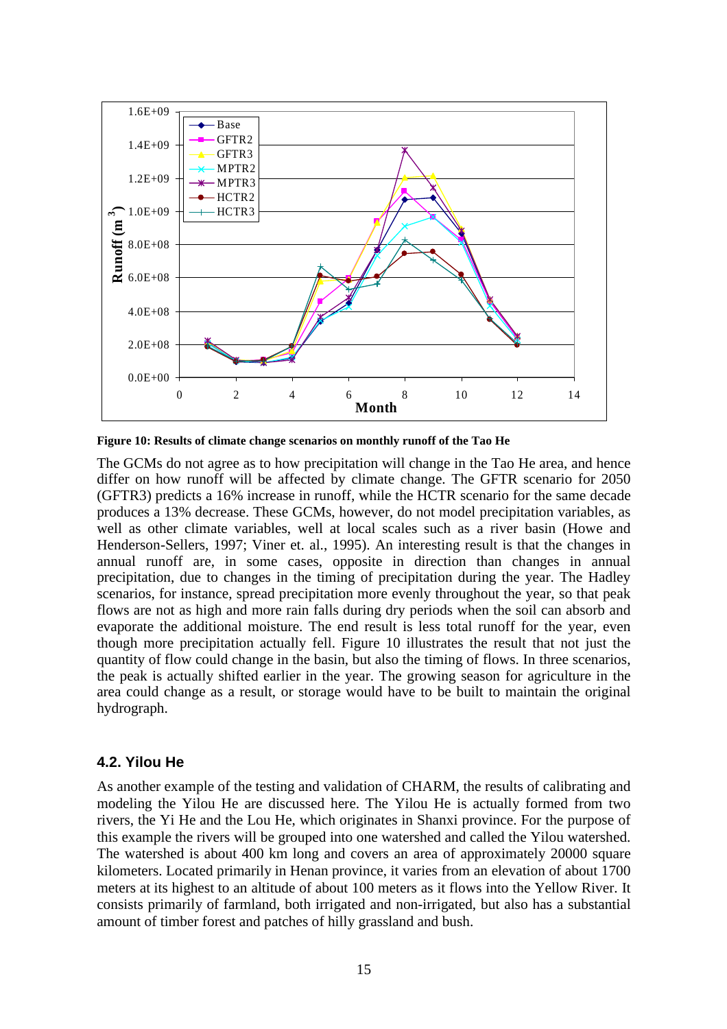

**Figure 10: Results of climate change scenarios on monthly runoff of the Tao He**

The GCMs do not agree as to how precipitation will change in the Tao He area, and hence differ on how runoff will be affected by climate change. The GFTR scenario for 2050 (GFTR3) predicts a 16% increase in runoff, while the HCTR scenario for the same decade produces a 13% decrease. These GCMs, however, do not model precipitation variables, as well as other climate variables, well at local scales such as a river basin (Howe and Henderson-Sellers, 1997; Viner et. al., 1995). An interesting result is that the changes in annual runoff are, in some cases, opposite in direction than changes in annual precipitation, due to changes in the timing of precipitation during the year. The Hadley scenarios, for instance, spread precipitation more evenly throughout the year, so that peak flows are not as high and more rain falls during dry periods when the soil can absorb and evaporate the additional moisture. The end result is less total runoff for the year, even though more precipitation actually fell. Figure 10 illustrates the result that not just the quantity of flow could change in the basin, but also the timing of flows. In three scenarios, the peak is actually shifted earlier in the year. The growing season for agriculture in the area could change as a result, or storage would have to be built to maintain the original hydrograph.

#### **4.2. Yilou He**

As another example of the testing and validation of CHARM, the results of calibrating and modeling the Yilou He are discussed here. The Yilou He is actually formed from two rivers, the Yi He and the Lou He, which originates in Shanxi province. For the purpose of this example the rivers will be grouped into one watershed and called the Yilou watershed. The watershed is about 400 km long and covers an area of approximately 20000 square kilometers. Located primarily in Henan province, it varies from an elevation of about 1700 meters at its highest to an altitude of about 100 meters as it flows into the Yellow River. It consists primarily of farmland, both irrigated and non-irrigated, but also has a substantial amount of timber forest and patches of hilly grassland and bush.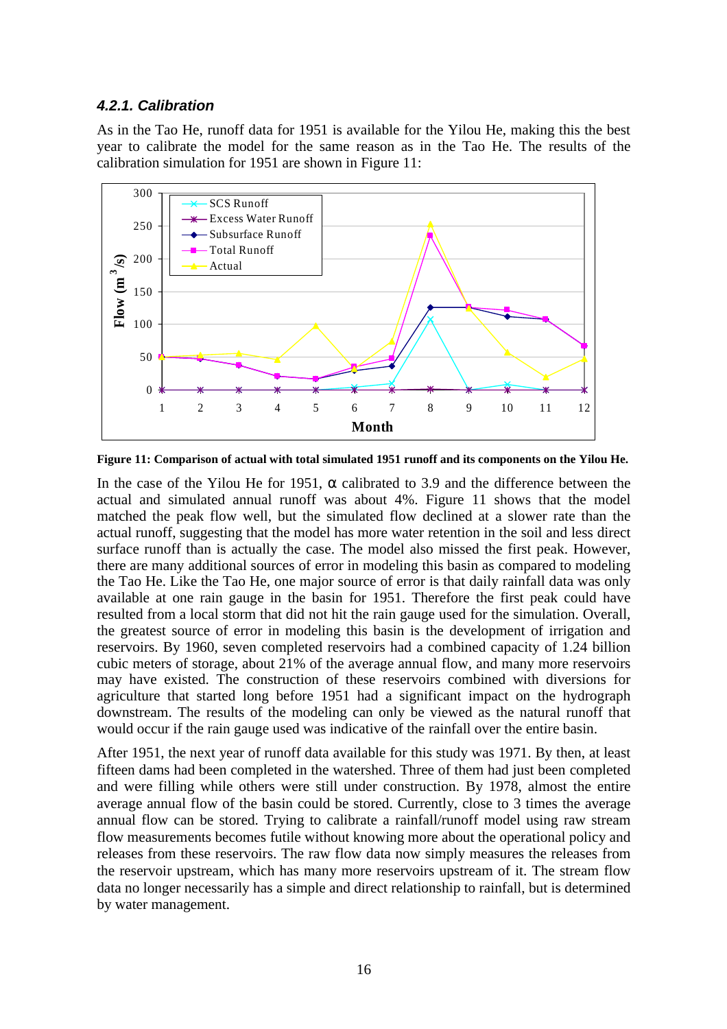## **4.2.1. Calibration**

As in the Tao He, runoff data for 1951 is available for the Yilou He, making this the best year to calibrate the model for the same reason as in the Tao He. The results of the calibration simulation for 1951 are shown in Figure 11:



**Figure 11: Comparison of actual with total simulated 1951 runoff and its components on the Yilou He.**

In the case of the Yilou He for 1951,  $\alpha$  calibrated to 3.9 and the difference between the actual and simulated annual runoff was about 4%. Figure 11 shows that the model matched the peak flow well, but the simulated flow declined at a slower rate than the actual runoff, suggesting that the model has more water retention in the soil and less direct surface runoff than is actually the case. The model also missed the first peak. However, there are many additional sources of error in modeling this basin as compared to modeling the Tao He. Like the Tao He, one major source of error is that daily rainfall data was only available at one rain gauge in the basin for 1951. Therefore the first peak could have resulted from a local storm that did not hit the rain gauge used for the simulation. Overall, the greatest source of error in modeling this basin is the development of irrigation and reservoirs. By 1960, seven completed reservoirs had a combined capacity of 1.24 billion cubic meters of storage, about 21% of the average annual flow, and many more reservoirs may have existed. The construction of these reservoirs combined with diversions for agriculture that started long before 1951 had a significant impact on the hydrograph downstream. The results of the modeling can only be viewed as the natural runoff that would occur if the rain gauge used was indicative of the rainfall over the entire basin.

After 1951, the next year of runoff data available for this study was 1971. By then, at least fifteen dams had been completed in the watershed. Three of them had just been completed and were filling while others were still under construction. By 1978, almost the entire average annual flow of the basin could be stored. Currently, close to 3 times the average annual flow can be stored. Trying to calibrate a rainfall/runoff model using raw stream flow measurements becomes futile without knowing more about the operational policy and releases from these reservoirs. The raw flow data now simply measures the releases from the reservoir upstream, which has many more reservoirs upstream of it. The stream flow data no longer necessarily has a simple and direct relationship to rainfall, but is determined by water management.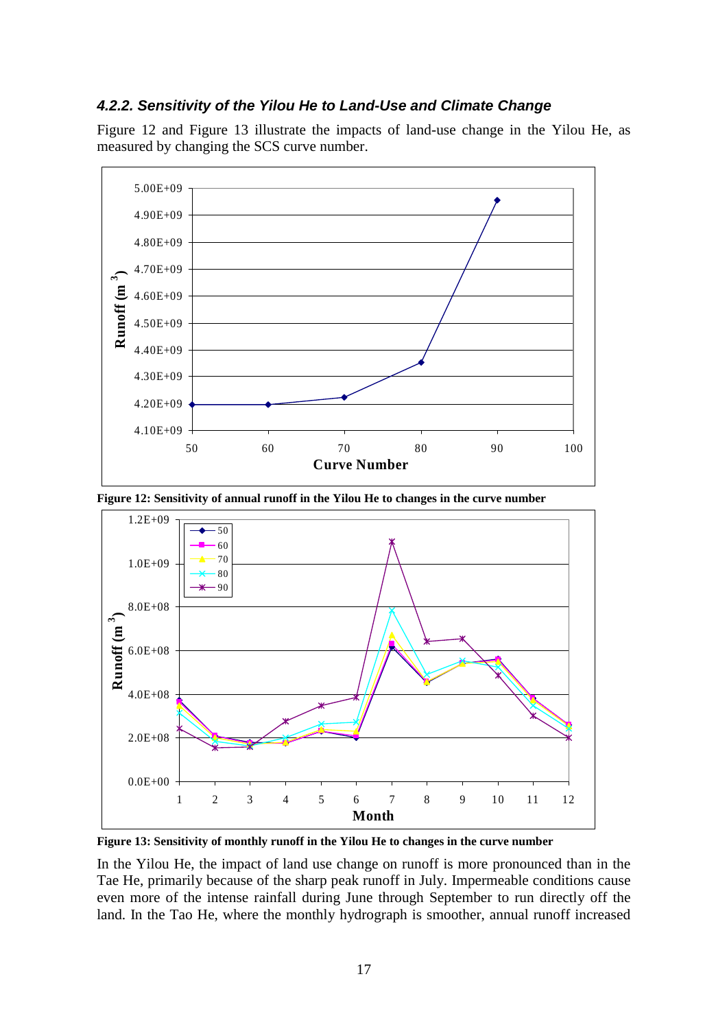### **4.2.2. Sensitivity of the Yilou He to Land-Use and Climate Change**

Figure 12 and Figure 13 illustrate the impacts of land-use change in the Yilou He, as measured by changing the SCS curve number.



**Figure 12: Sensitivity of annual runoff in the Yilou He to changes in the curve number**



**Figure 13: Sensitivity of monthly runoff in the Yilou He to changes in the curve number**

In the Yilou He, the impact of land use change on runoff is more pronounced than in the Tae He, primarily because of the sharp peak runoff in July. Impermeable conditions cause even more of the intense rainfall during June through September to run directly off the land. In the Tao He, where the monthly hydrograph is smoother, annual runoff increased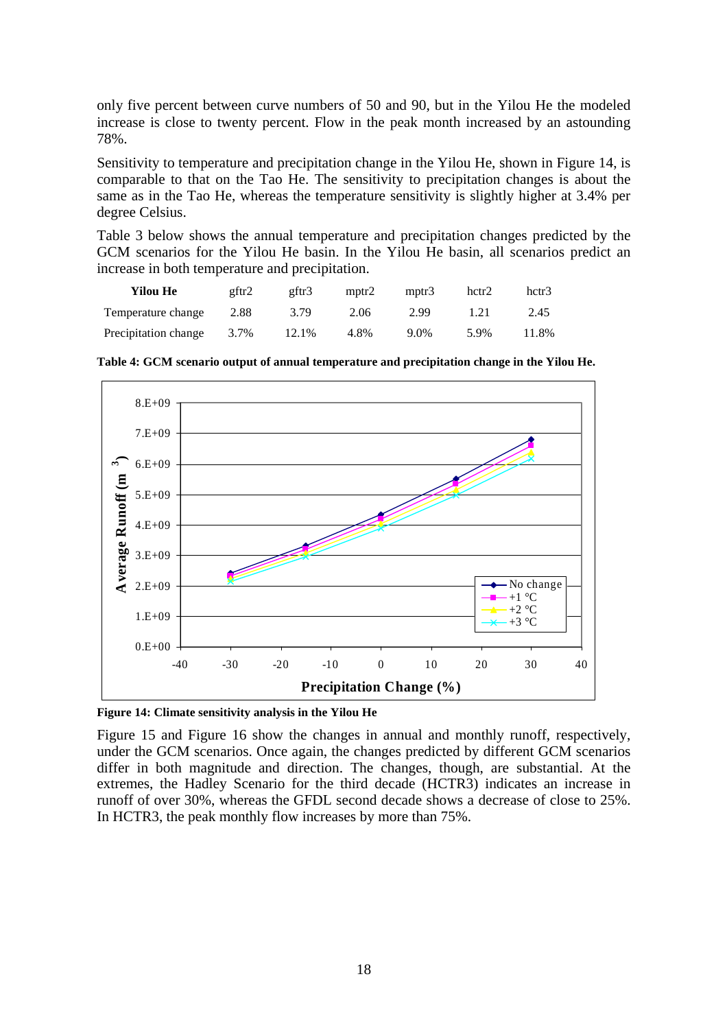only five percent between curve numbers of 50 and 90, but in the Yilou He the modeled increase is close to twenty percent. Flow in the peak month increased by an astounding 78%.

Sensitivity to temperature and precipitation change in the Yilou He, shown in Figure 14, is comparable to that on the Tao He. The sensitivity to precipitation changes is about the same as in the Tao He, whereas the temperature sensitivity is slightly higher at 3.4% per degree Celsius.

Table 3 below shows the annual temperature and precipitation changes predicted by the GCM scenarios for the Yilou He basin. In the Yilou He basin, all scenarios predict an increase in both temperature and precipitation.

| Yilou He             | gftr2 | gftr3 | mptr <sub>2</sub> | mptr3 | hctr2 | hctr <sup>3</sup> |
|----------------------|-------|-------|-------------------|-------|-------|-------------------|
| Temperature change   | 2.88  | 3.79  | 2.06              | 2.99  | 1.21  | 2.45              |
| Precipitation change | 3.7%  | 12.1% | 4.8%              | 9.0%  | 5.9%  | 11.8%             |

**Table 4: GCM scenario output of annual temperature and precipitation change in the Yilou He.**



**Figure 14: Climate sensitivity analysis in the Yilou He**

Figure 15 and Figure 16 show the changes in annual and monthly runoff, respectively, under the GCM scenarios. Once again, the changes predicted by different GCM scenarios differ in both magnitude and direction. The changes, though, are substantial. At the extremes, the Hadley Scenario for the third decade (HCTR3) indicates an increase in runoff of over 30%, whereas the GFDL second decade shows a decrease of close to 25%. In HCTR3, the peak monthly flow increases by more than 75%.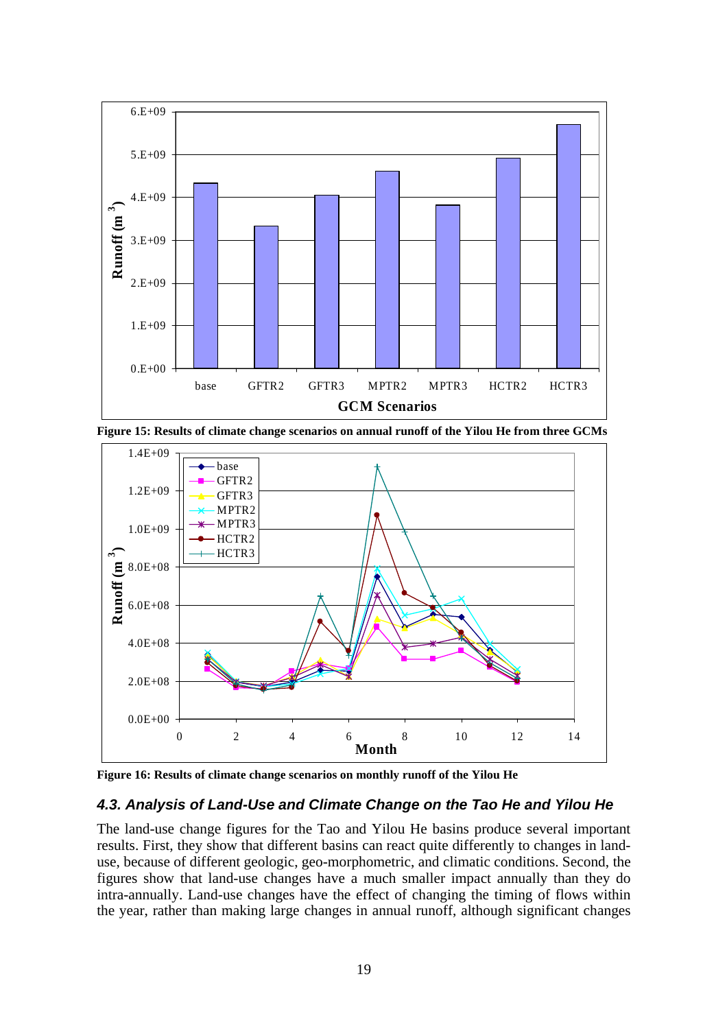

**Figure 15: Results of climate change scenarios on annual runoff of the Yilou He from three GCMs**



**Figure 16: Results of climate change scenarios on monthly runoff of the Yilou He**

## **4.3. Analysis of Land-Use and Climate Change on the Tao He and Yilou He**

The land-use change figures for the Tao and Yilou He basins produce several important results. First, they show that different basins can react quite differently to changes in landuse, because of different geologic, geo-morphometric, and climatic conditions. Second, the figures show that land-use changes have a much smaller impact annually than they do intra-annually. Land-use changes have the effect of changing the timing of flows within the year, rather than making large changes in annual runoff, although significant changes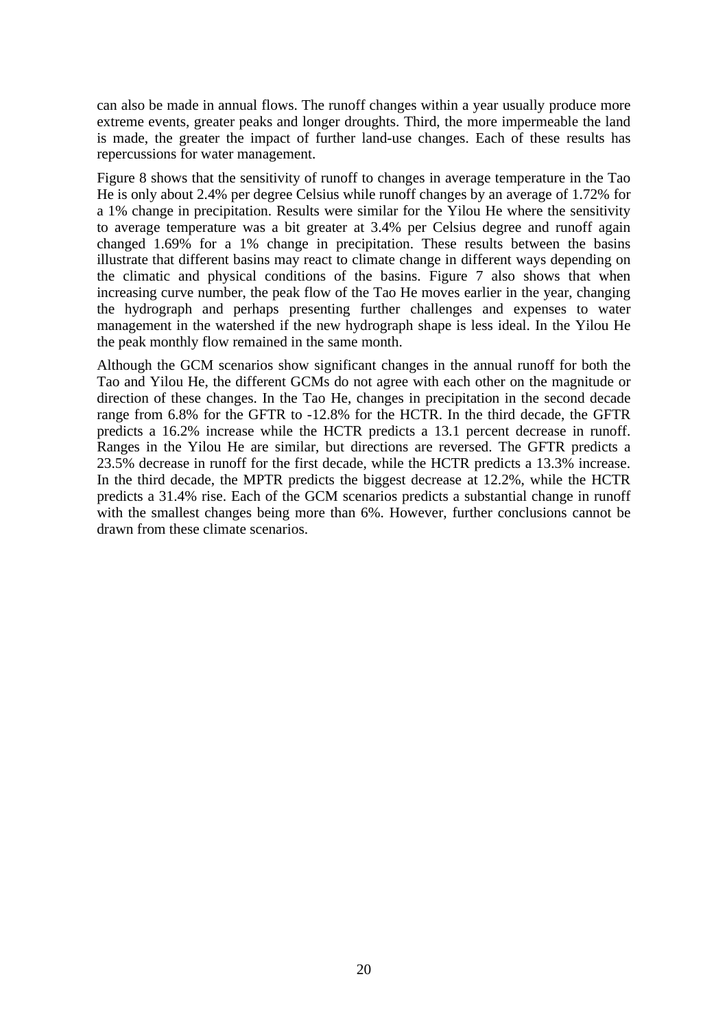can also be made in annual flows. The runoff changes within a year usually produce more extreme events, greater peaks and longer droughts. Third, the more impermeable the land is made, the greater the impact of further land-use changes. Each of these results has repercussions for water management.

Figure 8 shows that the sensitivity of runoff to changes in average temperature in the Tao He is only about 2.4% per degree Celsius while runoff changes by an average of 1.72% for a 1% change in precipitation. Results were similar for the Yilou He where the sensitivity to average temperature was a bit greater at 3.4% per Celsius degree and runoff again changed 1.69% for a 1% change in precipitation. These results between the basins illustrate that different basins may react to climate change in different ways depending on the climatic and physical conditions of the basins. Figure 7 also shows that when increasing curve number, the peak flow of the Tao He moves earlier in the year, changing the hydrograph and perhaps presenting further challenges and expenses to water management in the watershed if the new hydrograph shape is less ideal. In the Yilou He the peak monthly flow remained in the same month.

Although the GCM scenarios show significant changes in the annual runoff for both the Tao and Yilou He, the different GCMs do not agree with each other on the magnitude or direction of these changes. In the Tao He, changes in precipitation in the second decade range from 6.8% for the GFTR to -12.8% for the HCTR. In the third decade, the GFTR predicts a 16.2% increase while the HCTR predicts a 13.1 percent decrease in runoff. Ranges in the Yilou He are similar, but directions are reversed. The GFTR predicts a 23.5% decrease in runoff for the first decade, while the HCTR predicts a 13.3% increase. In the third decade, the MPTR predicts the biggest decrease at 12.2%, while the HCTR predicts a 31.4% rise. Each of the GCM scenarios predicts a substantial change in runoff with the smallest changes being more than 6%. However, further conclusions cannot be drawn from these climate scenarios.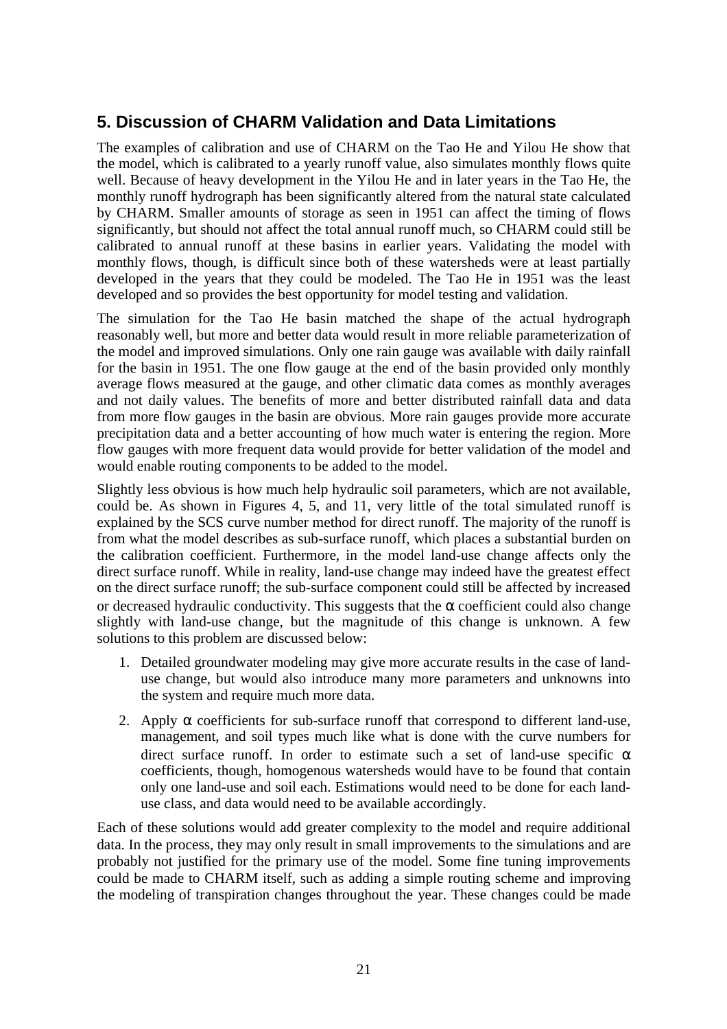# **5. Discussion of CHARM Validation and Data Limitations**

The examples of calibration and use of CHARM on the Tao He and Yilou He show that the model, which is calibrated to a yearly runoff value, also simulates monthly flows quite well. Because of heavy development in the Yilou He and in later years in the Tao He, the monthly runoff hydrograph has been significantly altered from the natural state calculated by CHARM. Smaller amounts of storage as seen in 1951 can affect the timing of flows significantly, but should not affect the total annual runoff much, so CHARM could still be calibrated to annual runoff at these basins in earlier years. Validating the model with monthly flows, though, is difficult since both of these watersheds were at least partially developed in the years that they could be modeled. The Tao He in 1951 was the least developed and so provides the best opportunity for model testing and validation.

The simulation for the Tao He basin matched the shape of the actual hydrograph reasonably well, but more and better data would result in more reliable parameterization of the model and improved simulations. Only one rain gauge was available with daily rainfall for the basin in 1951. The one flow gauge at the end of the basin provided only monthly average flows measured at the gauge, and other climatic data comes as monthly averages and not daily values. The benefits of more and better distributed rainfall data and data from more flow gauges in the basin are obvious. More rain gauges provide more accurate precipitation data and a better accounting of how much water is entering the region. More flow gauges with more frequent data would provide for better validation of the model and would enable routing components to be added to the model.

Slightly less obvious is how much help hydraulic soil parameters, which are not available, could be. As shown in Figures 4, 5, and 11, very little of the total simulated runoff is explained by the SCS curve number method for direct runoff. The majority of the runoff is from what the model describes as sub-surface runoff, which places a substantial burden on the calibration coefficient. Furthermore, in the model land-use change affects only the direct surface runoff. While in reality, land-use change may indeed have the greatest effect on the direct surface runoff; the sub-surface component could still be affected by increased or decreased hydraulic conductivity. This suggests that the  $\alpha$  coefficient could also change slightly with land-use change, but the magnitude of this change is unknown. A few solutions to this problem are discussed below:

- 1. Detailed groundwater modeling may give more accurate results in the case of landuse change, but would also introduce many more parameters and unknowns into the system and require much more data.
- 2. Apply  $\alpha$  coefficients for sub-surface runoff that correspond to different land-use, management, and soil types much like what is done with the curve numbers for direct surface runoff. In order to estimate such a set of land-use specific  $\alpha$ coefficients, though, homogenous watersheds would have to be found that contain only one land-use and soil each. Estimations would need to be done for each landuse class, and data would need to be available accordingly.

Each of these solutions would add greater complexity to the model and require additional data. In the process, they may only result in small improvements to the simulations and are probably not justified for the primary use of the model. Some fine tuning improvements could be made to CHARM itself, such as adding a simple routing scheme and improving the modeling of transpiration changes throughout the year. These changes could be made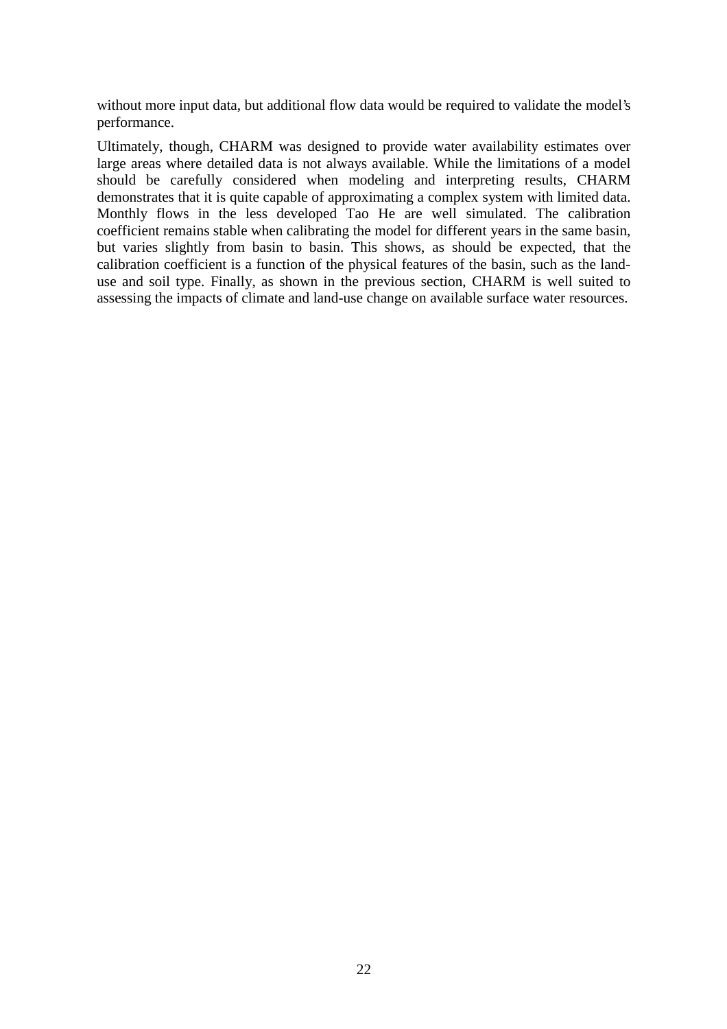without more input data, but additional flow data would be required to validate the model's performance.

Ultimately, though, CHARM was designed to provide water availability estimates over large areas where detailed data is not always available. While the limitations of a model should be carefully considered when modeling and interpreting results, CHARM demonstrates that it is quite capable of approximating a complex system with limited data. Monthly flows in the less developed Tao He are well simulated. The calibration coefficient remains stable when calibrating the model for different years in the same basin, but varies slightly from basin to basin. This shows, as should be expected, that the calibration coefficient is a function of the physical features of the basin, such as the landuse and soil type. Finally, as shown in the previous section, CHARM is well suited to assessing the impacts of climate and land-use change on available surface water resources.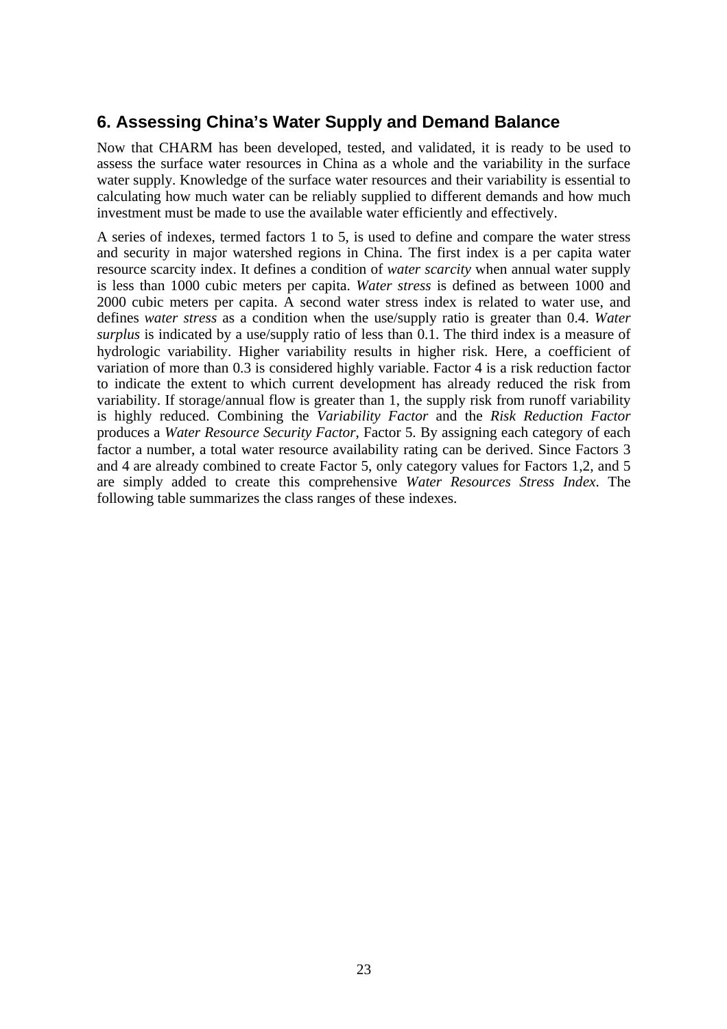# **6. Assessing China's Water Supply and Demand Balance**

Now that CHARM has been developed, tested, and validated, it is ready to be used to assess the surface water resources in China as a whole and the variability in the surface water supply. Knowledge of the surface water resources and their variability is essential to calculating how much water can be reliably supplied to different demands and how much investment must be made to use the available water efficiently and effectively.

A series of indexes, termed factors 1 to 5, is used to define and compare the water stress and security in major watershed regions in China. The first index is a per capita water resource scarcity index. It defines a condition of *water scarcity* when annual water supply is less than 1000 cubic meters per capita. *Water stress* is defined as between 1000 and 2000 cubic meters per capita. A second water stress index is related to water use, and defines *water stress* as a condition when the use/supply ratio is greater than 0.4. *Water surplus* is indicated by a use/supply ratio of less than 0.1. The third index is a measure of hydrologic variability. Higher variability results in higher risk. Here, a coefficient of variation of more than 0.3 is considered highly variable. Factor 4 is a risk reduction factor to indicate the extent to which current development has already reduced the risk from variability. If storage/annual flow is greater than 1, the supply risk from runoff variability is highly reduced. Combining the *Variability Factor* and the *Risk Reduction Factor* produces a *Water Resource Security Factor*, Factor 5. By assigning each category of each factor a number, a total water resource availability rating can be derived. Since Factors 3 and 4 are already combined to create Factor 5, only category values for Factors 1,2, and 5 are simply added to create this comprehensive *Water Resources Stress Index*. The following table summarizes the class ranges of these indexes.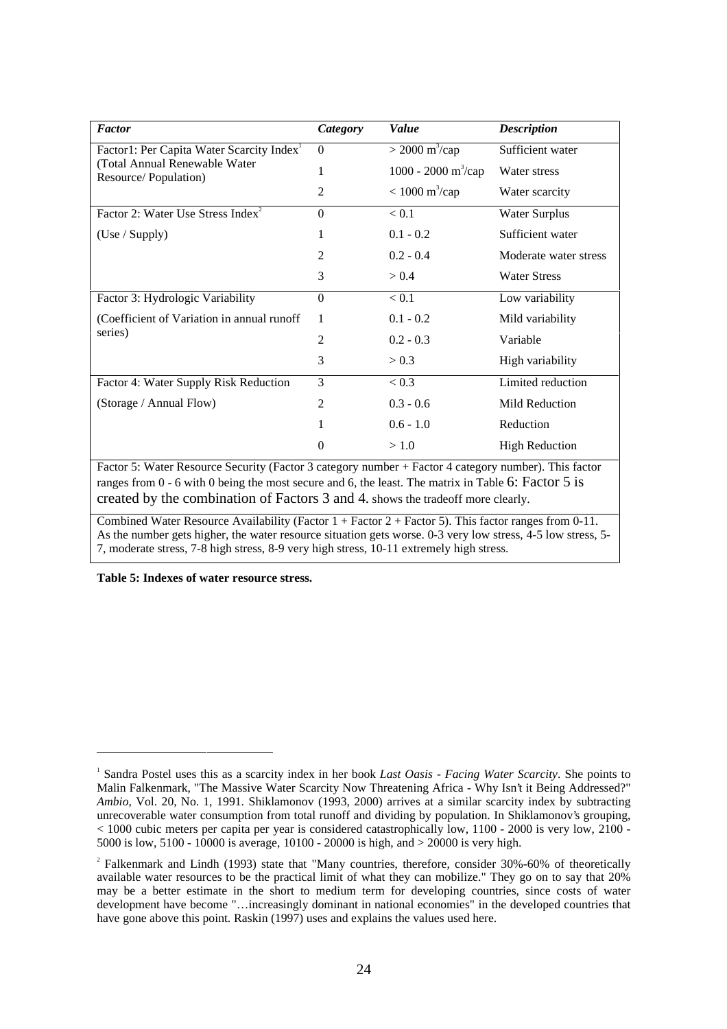| <b>Factor</b>                                         | Category | Value                           | <b>Description</b>    |
|-------------------------------------------------------|----------|---------------------------------|-----------------------|
| Factor1: Per Capita Water Scarcity Index <sup>1</sup> | $\Omega$ | $>$ 2000 m <sup>3</sup> /cap    | Sufficient water      |
| (Total Annual Renewable Water<br>Resource/Population) |          | 1000 - 2000 m <sup>3</sup> /cap | Water stress          |
|                                                       | 2        | $< 1000 \text{ m}^3/\text{cap}$ | Water scarcity        |
| Factor 2: Water Use Stress Index <sup>2</sup>         | $\Omega$ | < 0.1                           | <b>Water Surplus</b>  |
| (Use / Supply)                                        | 1        | $0.1 - 0.2$                     | Sufficient water      |
|                                                       | 2        | $0.2 - 0.4$                     | Moderate water stress |
|                                                       | 3        | > 0.4                           | <b>Water Stress</b>   |
| Factor 3: Hydrologic Variability                      | $\Omega$ | < 0.1                           | Low variability       |
| (Coefficient of Variation in annual runoff            | 1        | $0.1 - 0.2$                     | Mild variability      |
| series)                                               | 2        | $0.2 - 0.3$                     | Variable              |
|                                                       | 3        | > 0.3                           | High variability      |
| Factor 4: Water Supply Risk Reduction                 | 3        | < 0.3                           | Limited reduction     |
| (Storage / Annual Flow)                               | 2        | $0.3 - 0.6$                     | Mild Reduction        |
|                                                       |          | $0.6 - 1.0$                     | Reduction             |
| $\overline{\phantom{a}}$                              | $\Omega$ | >1.0                            | <b>High Reduction</b> |

Factor 5: Water Resource Security (Factor 3 category number + Factor 4 category number). This factor ranges from 0 - 6 with 0 being the most secure and 6, the least. The matrix in Table 6: Factor 5 is created by the combination of Factors 3 and 4. shows the tradeoff more clearly.

Combined Water Resource Availability (Factor  $1 +$  Factor  $2 +$  Factor 5). This factor ranges from 0-11. As the number gets higher, the water resource situation gets worse. 0-3 very low stress, 4-5 low stress, 5- 7, moderate stress, 7-8 high stress, 8-9 very high stress, 10-11 extremely high stress.

**Table 5: Indexes of water resource stress.**

 $\overline{a}$ 

<sup>&</sup>lt;sup>1</sup> Sandra Postel uses this as a scarcity index in her book *Last Oasis - Facing Water Scarcity*. She points to Malin Falkenmark, "The Massive Water Scarcity Now Threatening Africa - Why Isn't it Being Addressed?" *Ambio*, Vol. 20, No. 1, 1991. Shiklamonov (1993, 2000) arrives at a similar scarcity index by subtracting unrecoverable water consumption from total runoff and dividing by population. In Shiklamonov's grouping, < 1000 cubic meters per capita per year is considered catastrophically low, 1100 - 2000 is very low, 2100 - 5000 is low, 5100 - 10000 is average, 10100 - 20000 is high, and > 20000 is very high.

<sup>&</sup>lt;sup>2</sup> Falkenmark and Lindh (1993) state that "Many countries, therefore, consider 30%-60% of theoretically available water resources to be the practical limit of what they can mobilize." They go on to say that 20% may be a better estimate in the short to medium term for developing countries, since costs of water development have become "…increasingly dominant in national economies" in the developed countries that have gone above this point. Raskin (1997) uses and explains the values used here.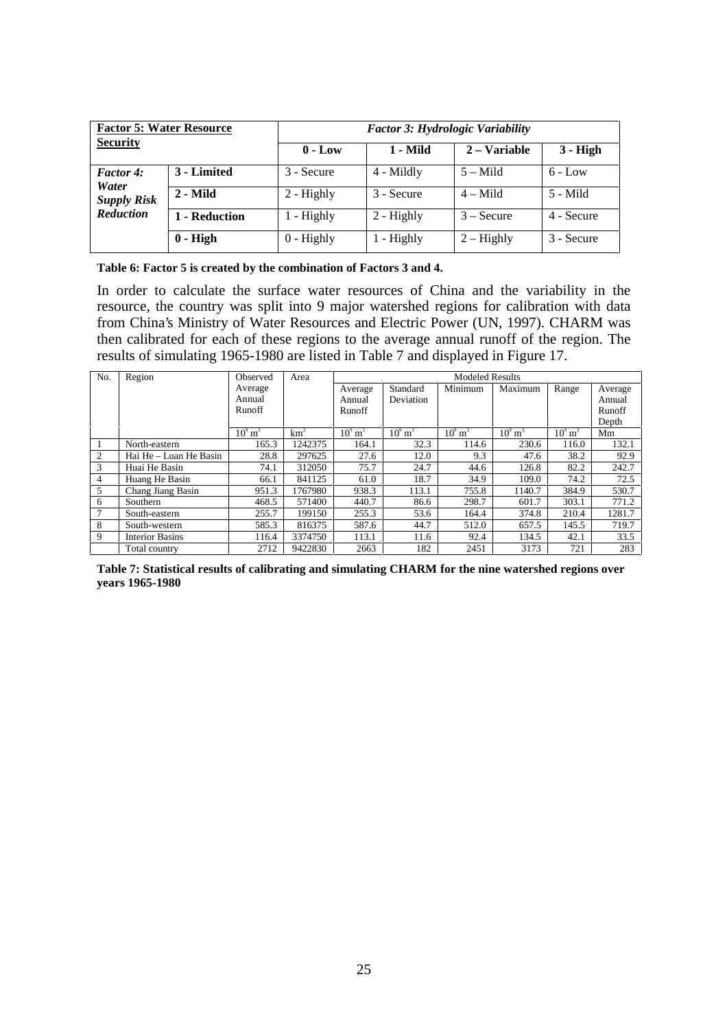| <b>Factor 5: Water Resource</b> |               | <b>Factor 3: Hydrologic Variability</b> |              |              |            |  |  |
|---------------------------------|---------------|-----------------------------------------|--------------|--------------|------------|--|--|
| <b>Security</b>                 |               | $0 - Low$                               | 1 - Mild     | 2 – Variable | $3 - High$ |  |  |
| <b>Factor 4:</b><br>Water       | 3 - Limited   | 3 - Secure                              | 4 - Mildly   | $5 -$ Mild   | $6 - Low$  |  |  |
| <b>Supply Risk</b>              | 2 - Mild      | $2 -$ Highly                            | 3 - Secure   | $4 -$ Mild   | 5 - Mild   |  |  |
| <b>Reduction</b>                | 1 - Reduction | $1 -$ Highly                            | $2 -$ Highly | $3 -$ Secure | 4 - Secure |  |  |
|                                 | $0 - High$    | $0$ - Highly                            | $1 -$ Highly | $2 -$ Highly | 3 - Secure |  |  |

| Table 6: Factor 5 is created by the combination of Factors 3 and 4. |
|---------------------------------------------------------------------|
|---------------------------------------------------------------------|

In order to calculate the surface water resources of China and the variability in the resource, the country was split into 9 major watershed regions for calibration with data from China's Ministry of Water Resources and Electric Power (UN, 1997). CHARM was then calibrated for each of these regions to the average annual runoff of the region. The results of simulating 1965-1980 are listed in Table 7 and displayed in Figure 17.

| No. | Region                 | Observed              | Area            | <b>Modeled Results</b> |                       |                       |                       |                       |         |
|-----|------------------------|-----------------------|-----------------|------------------------|-----------------------|-----------------------|-----------------------|-----------------------|---------|
|     |                        | Average               |                 | Average                | Standard              | Minimum               | Maximum               | Range                 | Average |
|     |                        | Annual                |                 | Annual                 | Deviation             |                       |                       |                       | Annual  |
|     |                        | Runoff                |                 | Runoff                 |                       |                       |                       |                       | Runoff  |
|     |                        |                       |                 |                        |                       |                       |                       |                       | Depth   |
|     |                        | $10^9$ m <sup>3</sup> | km <sup>2</sup> | $10^9$ m <sup>3</sup>  | $10^9$ m <sup>3</sup> | $10^9$ m <sup>3</sup> | $10^9$ m <sup>3</sup> | $10^9$ m <sup>3</sup> | Mm      |
|     | North-eastern          | 165.3                 | 1242375         | 164.1                  | 32.3                  | 114.6                 | 230.6                 | 116.0                 | 132.1   |
| 2   | Hai He – Luan He Basin | 28.8                  | 297625          | 27.6                   | 12.0                  | 9.3                   | 47.6                  | 38.2                  | 92.9    |
| 3   | Huai He Basin          | 74.1                  | 312050          | 75.7                   | 24.7                  | 44.6                  | 126.8                 | 82.2                  | 242.7   |
| 4   | Huang He Basin         | 66.1                  | 841125          | 61.0                   | 18.7                  | 34.9                  | 109.0                 | 74.2                  | 72.5    |
| 5   | Chang Jiang Basin      | 951.3                 | 1767980         | 938.3                  | 113.1                 | 755.8                 | 1140.7                | 384.9                 | 530.7   |
| 6   | Southern               | 468.5                 | 571400          | 440.7                  | 86.6                  | 298.7                 | 601.7                 | 303.1                 | 771.2   |
|     | South-eastern          | 255.7                 | 199150          | 255.3                  | 53.6                  | 164.4                 | 374.8                 | 210.4                 | 1281.7  |
| 8   | South-western          | 585.3                 | 816375          | 587.6                  | 44.7                  | 512.0                 | 657.5                 | 145.5                 | 719.7   |
| 9   | <b>Interior Basins</b> | 116.4                 | 3374750         | 113.1                  | 11.6                  | 92.4                  | 134.5                 | 42.1                  | 33.5    |
|     | Total country          | 2712                  | 9422830         | 2663                   | 182                   | 2451                  | 3173                  | 721                   | 283     |

**Table 7: Statistical results of calibrating and simulating CHARM for the nine watershed regions over years 1965-1980**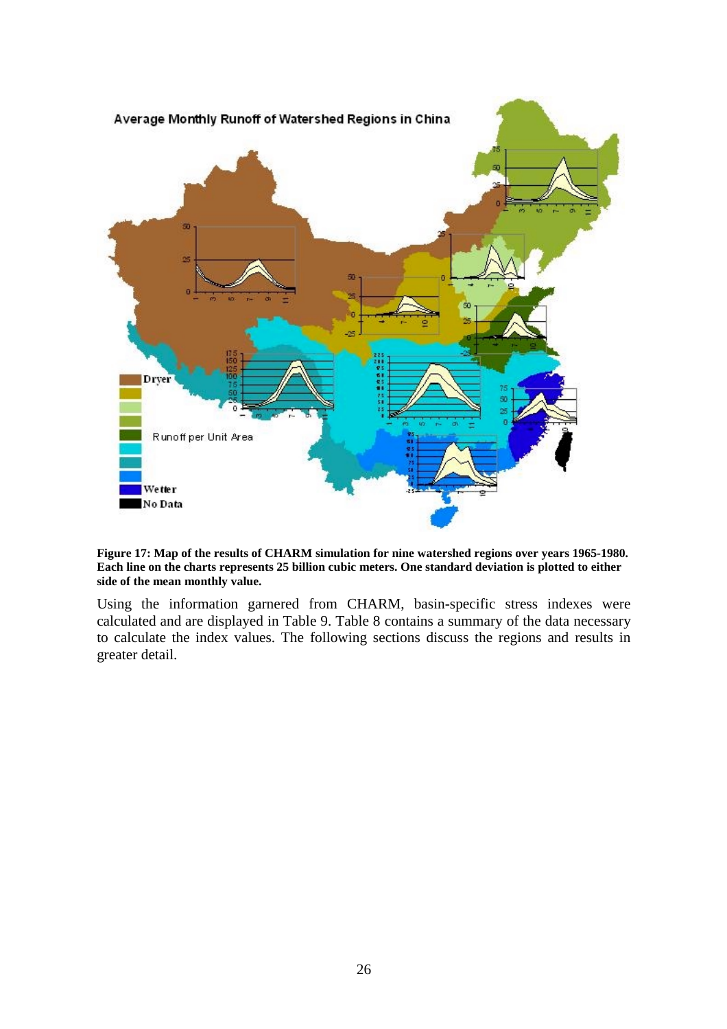

**Figure 17: Map of the results of CHARM simulation for nine watershed regions over years 1965-1980. Each line on the charts represents 25 billion cubic meters. One standard deviation is plotted to either side of the mean monthly value.**

Using the information garnered from CHARM, basin-specific stress indexes were calculated and are displayed in Table 9. Table 8 contains a summary of the data necessary to calculate the index values. The following sections discuss the regions and results in greater detail.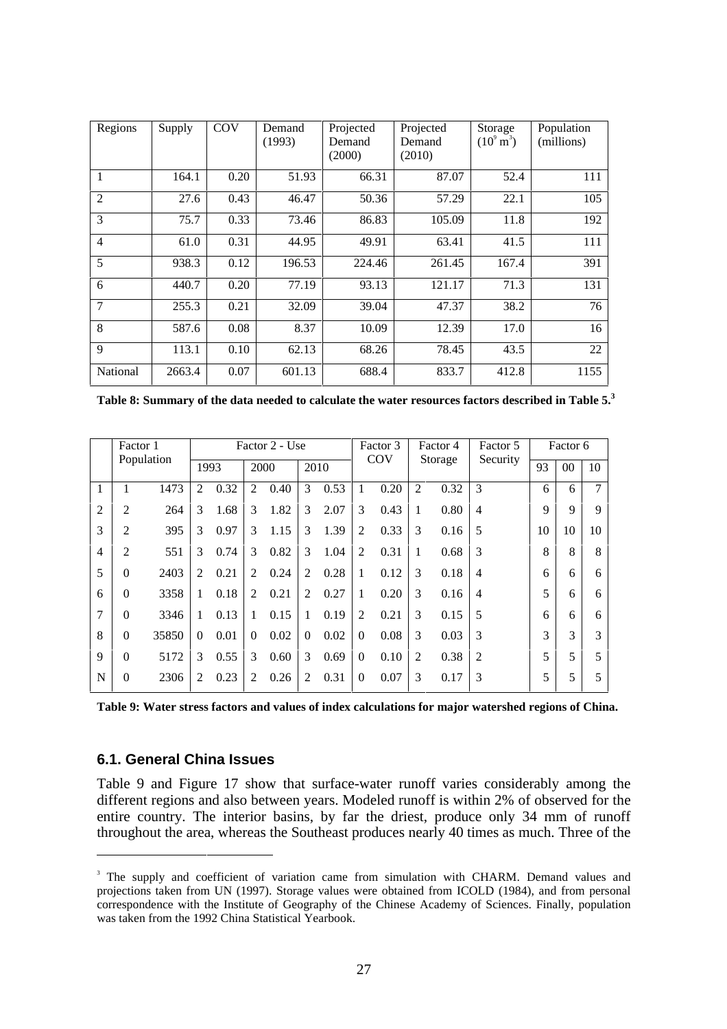| Regions        | Supply | COV  | Demand<br>(1993) | Projected<br>Demand<br>(2000) | Projected<br>Demand<br>(2010) | Storage<br>$(10^9 \,\mathrm{m}^3)$ | Population<br>(millions) |
|----------------|--------|------|------------------|-------------------------------|-------------------------------|------------------------------------|--------------------------|
| 1              | 164.1  | 0.20 | 51.93            | 66.31                         | 87.07                         | 52.4                               | 111                      |
| $\overline{2}$ | 27.6   | 0.43 | 46.47            | 50.36                         | 57.29                         | 22.1                               | 105                      |
| 3              | 75.7   | 0.33 | 73.46            | 86.83                         | 105.09                        | 11.8                               | 192                      |
| $\overline{4}$ | 61.0   | 0.31 | 44.95            | 49.91                         | 63.41                         | 41.5                               | 111                      |
| 5              | 938.3  | 0.12 | 196.53           | 224.46                        | 261.45                        | 167.4                              | 391                      |
| 6              | 440.7  | 0.20 | 77.19            | 93.13                         | 121.17                        | 71.3                               | 131                      |
| 7              | 255.3  | 0.21 | 32.09            | 39.04                         | 47.37                         | 38.2                               | 76                       |
| 8              | 587.6  | 0.08 | 8.37             | 10.09                         | 12.39                         | 17.0                               | 16                       |
| 9              | 113.1  | 0.10 | 62.13            | 68.26                         | 78.45                         | 43.5                               | 22                       |
| National       | 2663.4 | 0.07 | 601.13           | 688.4                         | 833.7                         | 412.8                              | 1155                     |

**Table 8: Summary of the data needed to calculate the water resources factors described in Table 5.<sup>3</sup>**

|                | Factor 1<br>Population |       | Factor 2 - Use |      |                |      |                |      | Factor 3 |      | Factor 4       |      | Factor 5       | Factor 6    |             |             |
|----------------|------------------------|-------|----------------|------|----------------|------|----------------|------|----------|------|----------------|------|----------------|-------------|-------------|-------------|
|                |                        |       | 1993           |      | 2000           |      | 2010           |      | COV      |      | Storage        |      | Security       | 93          | $00\,$      | 10          |
| 1              |                        | 1473  | 2              | 0.32 | 2              | 0.40 | 3              | 0.53 | 1        | 0.20 | $\overline{2}$ | 0.32 | 3              | 6           | 6           | 7           |
| $\overline{2}$ | 2                      | 264   | 3              | 1.68 | 3              | 1.82 | 3              | 2.07 | 3        | 0.43 | 1              | 0.80 | $\overline{4}$ | $\mathbf Q$ | $\mathbf Q$ | $\mathbf Q$ |
| 3              | 2                      | 395   | 3              | 0.97 | 3              | 1.15 | 3              | 1.39 | 2        | 0.33 | 3              | 0.16 | 5              | 10          | 10          | 10          |
| $\overline{4}$ | $\overline{c}$         | 551   | 3              | 0.74 | 3              | 0.82 | 3              | 1.04 | 2        | 0.31 | 1              | 0.68 | 3              | 8           | 8           | 8           |
| 5              | $\theta$               | 2403  | 2              | 0.21 | 2              | 0.24 | 2              | 0.28 | 1        | 0.12 | 3              | 0.18 | $\overline{4}$ | 6           | 6           | 6           |
| 6              | $\theta$               | 3358  | 1              | 0.18 | 2              | 0.21 | 2              | 0.27 | 1        | 0.20 | 3              | 0.16 | $\overline{4}$ | 5           | 6           | 6           |
| 7              | $\theta$               | 3346  | 1              | 0.13 | 1              | 0.15 | 1              | 0.19 | 2        | 0.21 | 3              | 0.15 | 5              | 6           | 6           | 6           |
| 8              | $\theta$               | 35850 | $\Omega$       | 0.01 | $\Omega$       | 0.02 | $\Omega$       | 0.02 | $\Omega$ | 0.08 | 3              | 0.03 | 3              | 3           | 3           | 3           |
| 9              | $\theta$               | 5172  | 3              | 0.55 | 3              | 0.60 | 3              | 0.69 | $\Omega$ | 0.10 | $\overline{2}$ | 0.38 | $\overline{2}$ | 5           | 5           | 5           |
| N              | 0                      | 2306  | 2              | 0.23 | $\mathfrak{D}$ | 0.26 | $\overline{2}$ | 0.31 | $\Omega$ | 0.07 | 3              | 0.17 | 3              | 5           | 5           | 5           |

**Table 9: Water stress factors and values of index calculations for major watershed regions of China.**

## **6.1. General China Issues**

l

Table 9 and Figure 17 show that surface-water runoff varies considerably among the different regions and also between years. Modeled runoff is within 2% of observed for the entire country. The interior basins, by far the driest, produce only 34 mm of runoff throughout the area, whereas the Southeast produces nearly 40 times as much. Three of the

<sup>&</sup>lt;sup>3</sup> The supply and coefficient of variation came from simulation with CHARM. Demand values and projections taken from UN (1997). Storage values were obtained from ICOLD (1984), and from personal correspondence with the Institute of Geography of the Chinese Academy of Sciences. Finally, population was taken from the 1992 China Statistical Yearbook.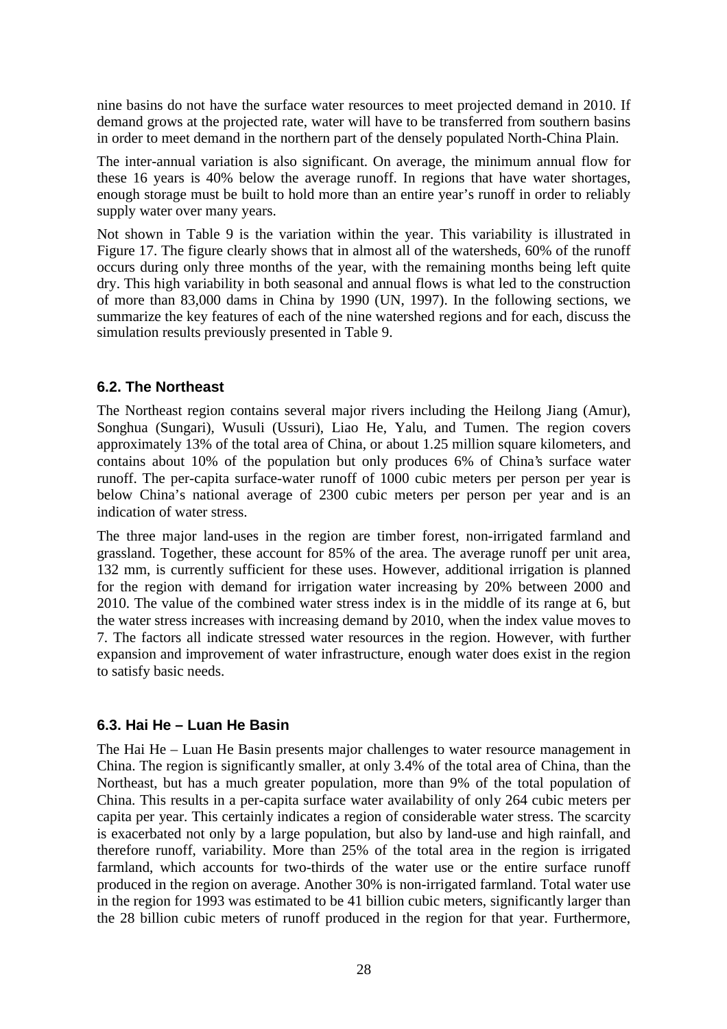nine basins do not have the surface water resources to meet projected demand in 2010. If demand grows at the projected rate, water will have to be transferred from southern basins in order to meet demand in the northern part of the densely populated North-China Plain.

The inter-annual variation is also significant. On average, the minimum annual flow for these 16 years is 40% below the average runoff. In regions that have water shortages, enough storage must be built to hold more than an entire year's runoff in order to reliably supply water over many years.

Not shown in Table 9 is the variation within the year. This variability is illustrated in Figure 17. The figure clearly shows that in almost all of the watersheds, 60% of the runoff occurs during only three months of the year, with the remaining months being left quite dry. This high variability in both seasonal and annual flows is what led to the construction of more than 83,000 dams in China by 1990 (UN, 1997). In the following sections, we summarize the key features of each of the nine watershed regions and for each, discuss the simulation results previously presented in Table 9.

#### **6.2. The Northeast**

The Northeast region contains several major rivers including the Heilong Jiang (Amur), Songhua (Sungari), Wusuli (Ussuri), Liao He, Yalu, and Tumen. The region covers approximately 13% of the total area of China, or about 1.25 million square kilometers, and contains about 10% of the population but only produces 6% of China's surface water runoff. The per-capita surface-water runoff of 1000 cubic meters per person per year is below China's national average of 2300 cubic meters per person per year and is an indication of water stress.

The three major land-uses in the region are timber forest, non-irrigated farmland and grassland. Together, these account for 85% of the area. The average runoff per unit area, 132 mm, is currently sufficient for these uses. However, additional irrigation is planned for the region with demand for irrigation water increasing by 20% between 2000 and 2010. The value of the combined water stress index is in the middle of its range at 6, but the water stress increases with increasing demand by 2010, when the index value moves to 7. The factors all indicate stressed water resources in the region. However, with further expansion and improvement of water infrastructure, enough water does exist in the region to satisfy basic needs.

#### **6.3. Hai He – Luan He Basin**

The Hai He – Luan He Basin presents major challenges to water resource management in China. The region is significantly smaller, at only 3.4% of the total area of China, than the Northeast, but has a much greater population, more than 9% of the total population of China. This results in a per-capita surface water availability of only 264 cubic meters per capita per year. This certainly indicates a region of considerable water stress. The scarcity is exacerbated not only by a large population, but also by land-use and high rainfall, and therefore runoff, variability. More than 25% of the total area in the region is irrigated farmland, which accounts for two-thirds of the water use or the entire surface runoff produced in the region on average. Another 30% is non-irrigated farmland. Total water use in the region for 1993 was estimated to be 41 billion cubic meters, significantly larger than the 28 billion cubic meters of runoff produced in the region for that year. Furthermore,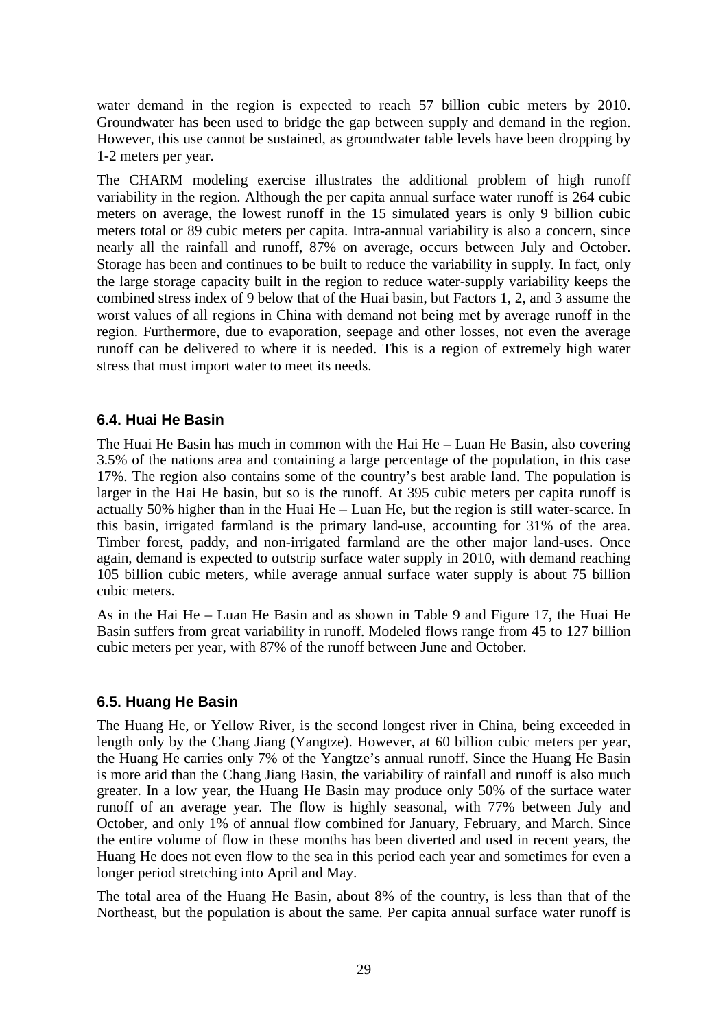water demand in the region is expected to reach 57 billion cubic meters by 2010. Groundwater has been used to bridge the gap between supply and demand in the region. However, this use cannot be sustained, as groundwater table levels have been dropping by 1-2 meters per year.

The CHARM modeling exercise illustrates the additional problem of high runoff variability in the region. Although the per capita annual surface water runoff is 264 cubic meters on average, the lowest runoff in the 15 simulated years is only 9 billion cubic meters total or 89 cubic meters per capita. Intra-annual variability is also a concern, since nearly all the rainfall and runoff, 87% on average, occurs between July and October. Storage has been and continues to be built to reduce the variability in supply. In fact, only the large storage capacity built in the region to reduce water-supply variability keeps the combined stress index of 9 below that of the Huai basin, but Factors 1, 2, and 3 assume the worst values of all regions in China with demand not being met by average runoff in the region. Furthermore, due to evaporation, seepage and other losses, not even the average runoff can be delivered to where it is needed. This is a region of extremely high water stress that must import water to meet its needs.

#### **6.4. Huai He Basin**

The Huai He Basin has much in common with the Hai He – Luan He Basin, also covering 3.5% of the nations area and containing a large percentage of the population, in this case 17%. The region also contains some of the country's best arable land. The population is larger in the Hai He basin, but so is the runoff. At 395 cubic meters per capita runoff is actually 50% higher than in the Huai He – Luan He, but the region is still water-scarce. In this basin, irrigated farmland is the primary land-use, accounting for 31% of the area. Timber forest, paddy, and non-irrigated farmland are the other major land-uses. Once again, demand is expected to outstrip surface water supply in 2010, with demand reaching 105 billion cubic meters, while average annual surface water supply is about 75 billion cubic meters.

As in the Hai He – Luan He Basin and as shown in Table 9 and Figure 17, the Huai He Basin suffers from great variability in runoff. Modeled flows range from 45 to 127 billion cubic meters per year, with 87% of the runoff between June and October.

#### **6.5. Huang He Basin**

The Huang He, or Yellow River, is the second longest river in China, being exceeded in length only by the Chang Jiang (Yangtze). However, at 60 billion cubic meters per year, the Huang He carries only 7% of the Yangtze's annual runoff. Since the Huang He Basin is more arid than the Chang Jiang Basin, the variability of rainfall and runoff is also much greater. In a low year, the Huang He Basin may produce only 50% of the surface water runoff of an average year. The flow is highly seasonal, with 77% between July and October, and only 1% of annual flow combined for January, February, and March. Since the entire volume of flow in these months has been diverted and used in recent years, the Huang He does not even flow to the sea in this period each year and sometimes for even a longer period stretching into April and May.

The total area of the Huang He Basin, about 8% of the country, is less than that of the Northeast, but the population is about the same. Per capita annual surface water runoff is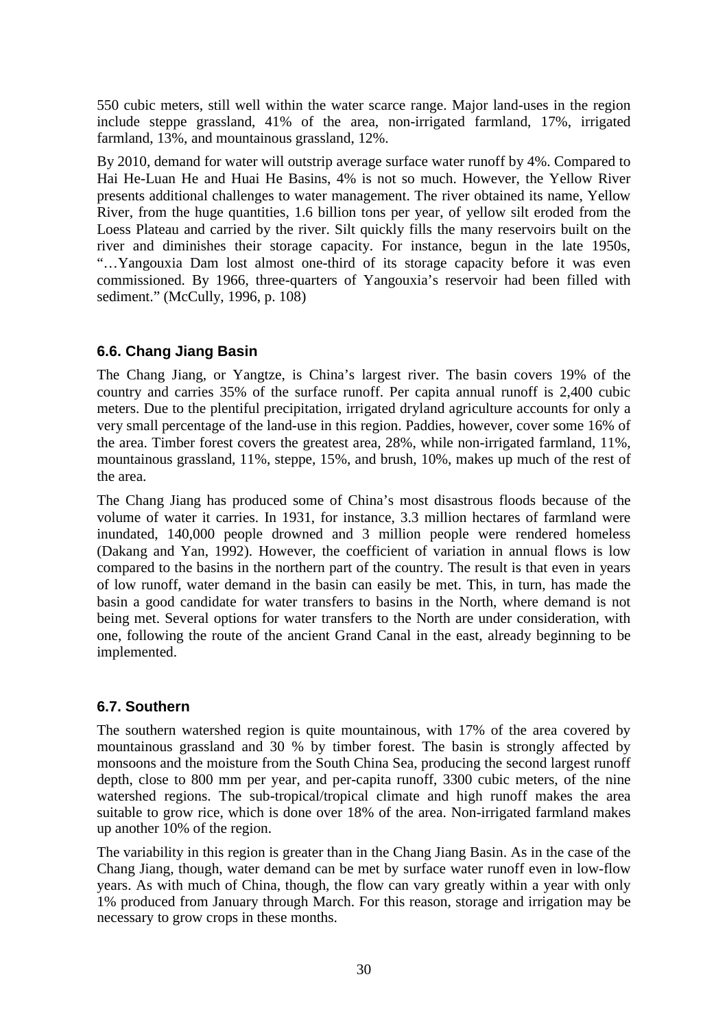550 cubic meters, still well within the water scarce range. Major land-uses in the region include steppe grassland, 41% of the area, non-irrigated farmland, 17%, irrigated farmland, 13%, and mountainous grassland, 12%.

By 2010, demand for water will outstrip average surface water runoff by 4%. Compared to Hai He-Luan He and Huai He Basins, 4% is not so much. However, the Yellow River presents additional challenges to water management. The river obtained its name, Yellow River, from the huge quantities, 1.6 billion tons per year, of yellow silt eroded from the Loess Plateau and carried by the river. Silt quickly fills the many reservoirs built on the river and diminishes their storage capacity. For instance, begun in the late 1950s, "…Yangouxia Dam lost almost one-third of its storage capacity before it was even commissioned. By 1966, three-quarters of Yangouxia's reservoir had been filled with sediment." (McCully, 1996, p. 108)

## **6.6. Chang Jiang Basin**

The Chang Jiang, or Yangtze, is China's largest river. The basin covers 19% of the country and carries 35% of the surface runoff. Per capita annual runoff is 2,400 cubic meters. Due to the plentiful precipitation, irrigated dryland agriculture accounts for only a very small percentage of the land-use in this region. Paddies, however, cover some 16% of the area. Timber forest covers the greatest area, 28%, while non-irrigated farmland, 11%, mountainous grassland, 11%, steppe, 15%, and brush, 10%, makes up much of the rest of the area.

The Chang Jiang has produced some of China's most disastrous floods because of the volume of water it carries. In 1931, for instance, 3.3 million hectares of farmland were inundated, 140,000 people drowned and 3 million people were rendered homeless (Dakang and Yan, 1992). However, the coefficient of variation in annual flows is low compared to the basins in the northern part of the country. The result is that even in years of low runoff, water demand in the basin can easily be met. This, in turn, has made the basin a good candidate for water transfers to basins in the North, where demand is not being met. Several options for water transfers to the North are under consideration, with one, following the route of the ancient Grand Canal in the east, already beginning to be implemented.

#### **6.7. Southern**

The southern watershed region is quite mountainous, with 17% of the area covered by mountainous grassland and 30 % by timber forest. The basin is strongly affected by monsoons and the moisture from the South China Sea, producing the second largest runoff depth, close to 800 mm per year, and per-capita runoff, 3300 cubic meters, of the nine watershed regions. The sub-tropical/tropical climate and high runoff makes the area suitable to grow rice, which is done over 18% of the area. Non-irrigated farmland makes up another 10% of the region.

The variability in this region is greater than in the Chang Jiang Basin. As in the case of the Chang Jiang, though, water demand can be met by surface water runoff even in low-flow years. As with much of China, though, the flow can vary greatly within a year with only 1% produced from January through March. For this reason, storage and irrigation may be necessary to grow crops in these months.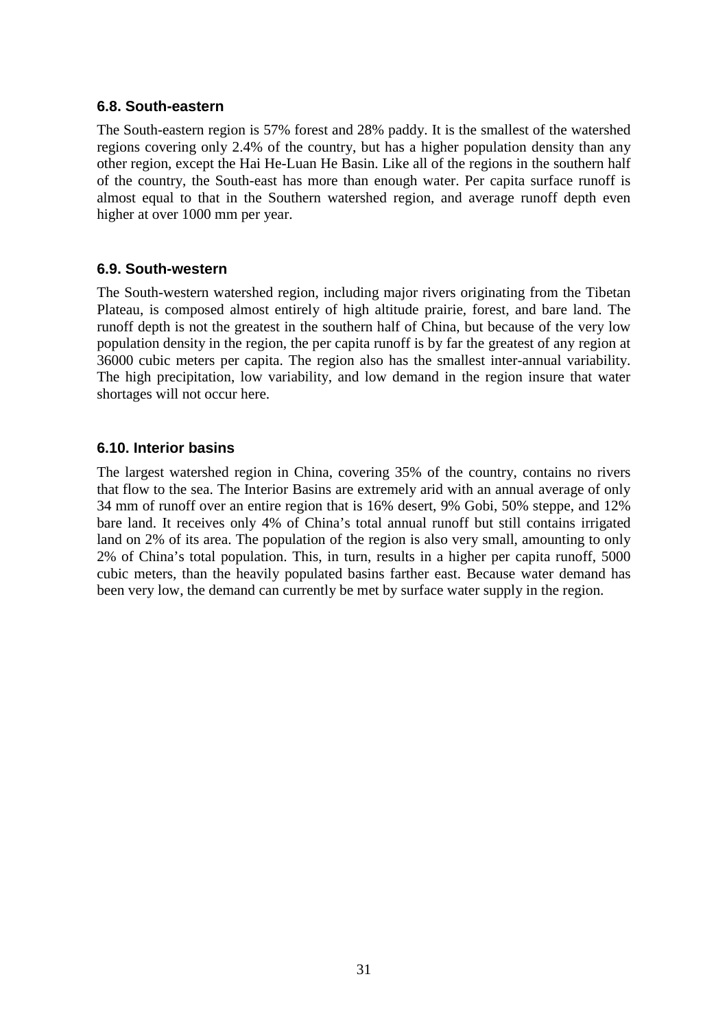#### **6.8. South-eastern**

The South-eastern region is 57% forest and 28% paddy. It is the smallest of the watershed regions covering only 2.4% of the country, but has a higher population density than any other region, except the Hai He-Luan He Basin. Like all of the regions in the southern half of the country, the South-east has more than enough water. Per capita surface runoff is almost equal to that in the Southern watershed region, and average runoff depth even higher at over 1000 mm per year.

#### **6.9. South-western**

The South-western watershed region, including major rivers originating from the Tibetan Plateau, is composed almost entirely of high altitude prairie, forest, and bare land. The runoff depth is not the greatest in the southern half of China, but because of the very low population density in the region, the per capita runoff is by far the greatest of any region at 36000 cubic meters per capita. The region also has the smallest inter-annual variability. The high precipitation, low variability, and low demand in the region insure that water shortages will not occur here.

#### **6.10. Interior basins**

The largest watershed region in China, covering 35% of the country, contains no rivers that flow to the sea. The Interior Basins are extremely arid with an annual average of only 34 mm of runoff over an entire region that is 16% desert, 9% Gobi, 50% steppe, and 12% bare land. It receives only 4% of China's total annual runoff but still contains irrigated land on 2% of its area. The population of the region is also very small, amounting to only 2% of China's total population. This, in turn, results in a higher per capita runoff, 5000 cubic meters, than the heavily populated basins farther east. Because water demand has been very low, the demand can currently be met by surface water supply in the region.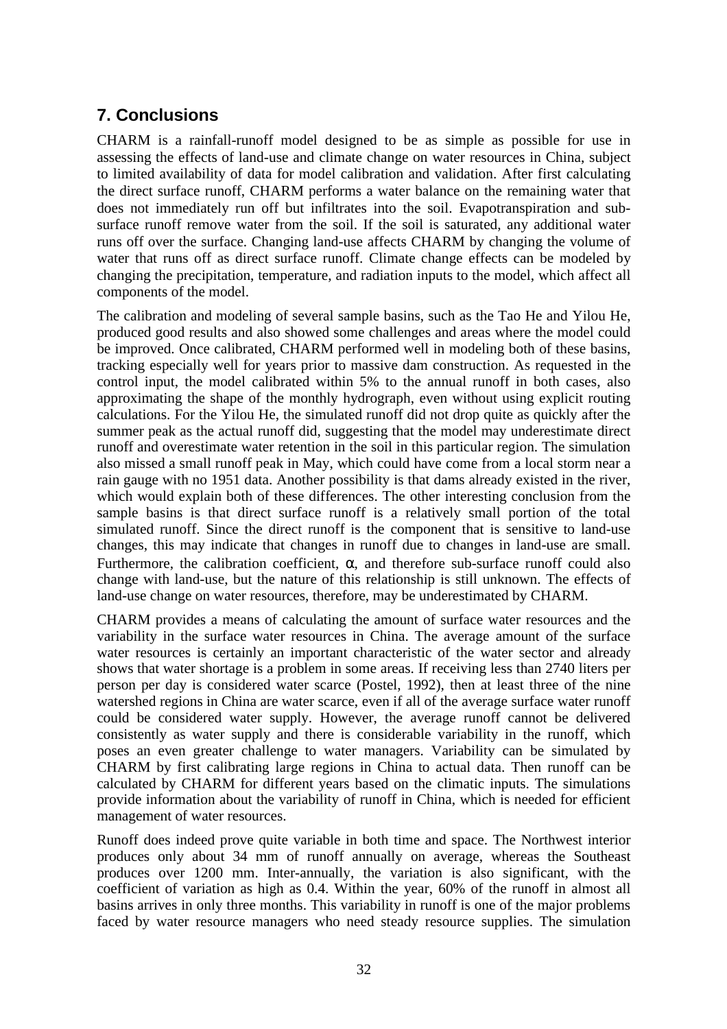# **7. Conclusions**

CHARM is a rainfall-runoff model designed to be as simple as possible for use in assessing the effects of land-use and climate change on water resources in China, subject to limited availability of data for model calibration and validation. After first calculating the direct surface runoff, CHARM performs a water balance on the remaining water that does not immediately run off but infiltrates into the soil. Evapotranspiration and subsurface runoff remove water from the soil. If the soil is saturated, any additional water runs off over the surface. Changing land-use affects CHARM by changing the volume of water that runs off as direct surface runoff. Climate change effects can be modeled by changing the precipitation, temperature, and radiation inputs to the model, which affect all components of the model.

The calibration and modeling of several sample basins, such as the Tao He and Yilou He, produced good results and also showed some challenges and areas where the model could be improved. Once calibrated, CHARM performed well in modeling both of these basins, tracking especially well for years prior to massive dam construction. As requested in the control input, the model calibrated within 5% to the annual runoff in both cases, also approximating the shape of the monthly hydrograph, even without using explicit routing calculations. For the Yilou He, the simulated runoff did not drop quite as quickly after the summer peak as the actual runoff did, suggesting that the model may underestimate direct runoff and overestimate water retention in the soil in this particular region. The simulation also missed a small runoff peak in May, which could have come from a local storm near a rain gauge with no 1951 data. Another possibility is that dams already existed in the river, which would explain both of these differences. The other interesting conclusion from the sample basins is that direct surface runoff is a relatively small portion of the total simulated runoff. Since the direct runoff is the component that is sensitive to land-use changes, this may indicate that changes in runoff due to changes in land-use are small. Furthermore, the calibration coefficient,  $\alpha$ , and therefore sub-surface runoff could also change with land-use, but the nature of this relationship is still unknown. The effects of land-use change on water resources, therefore, may be underestimated by CHARM.

CHARM provides a means of calculating the amount of surface water resources and the variability in the surface water resources in China. The average amount of the surface water resources is certainly an important characteristic of the water sector and already shows that water shortage is a problem in some areas. If receiving less than 2740 liters per person per day is considered water scarce (Postel, 1992), then at least three of the nine watershed regions in China are water scarce, even if all of the average surface water runoff could be considered water supply. However, the average runoff cannot be delivered consistently as water supply and there is considerable variability in the runoff, which poses an even greater challenge to water managers. Variability can be simulated by CHARM by first calibrating large regions in China to actual data. Then runoff can be calculated by CHARM for different years based on the climatic inputs. The simulations provide information about the variability of runoff in China, which is needed for efficient management of water resources.

Runoff does indeed prove quite variable in both time and space. The Northwest interior produces only about 34 mm of runoff annually on average, whereas the Southeast produces over 1200 mm. Inter-annually, the variation is also significant, with the coefficient of variation as high as 0.4. Within the year, 60% of the runoff in almost all basins arrives in only three months. This variability in runoff is one of the major problems faced by water resource managers who need steady resource supplies. The simulation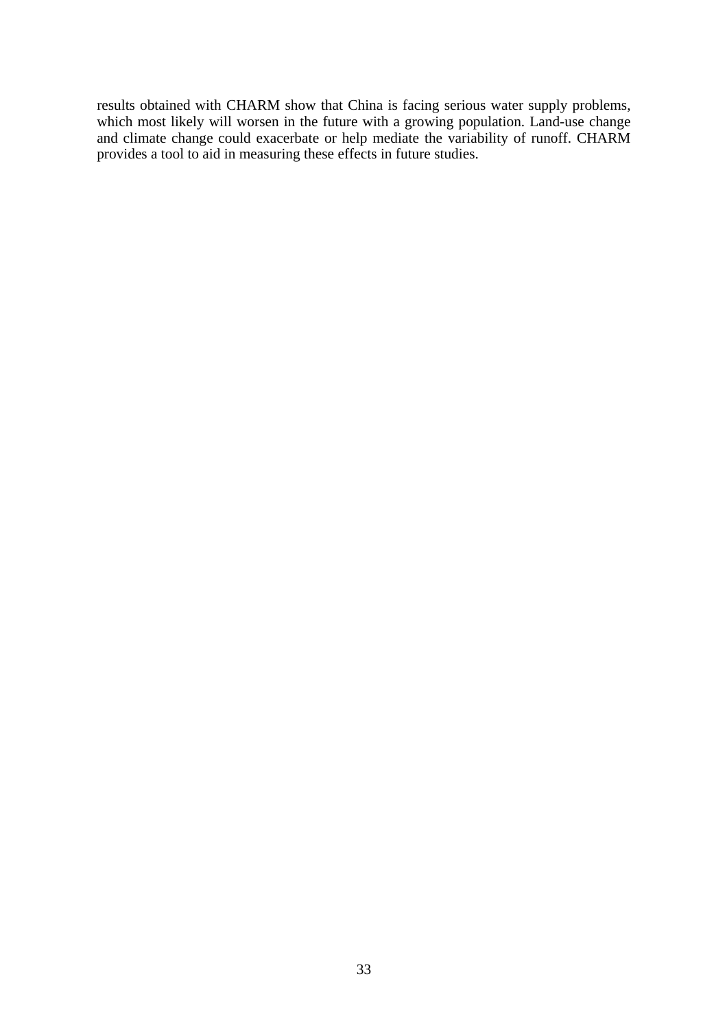results obtained with CHARM show that China is facing serious water supply problems, which most likely will worsen in the future with a growing population. Land-use change and climate change could exacerbate or help mediate the variability of runoff. CHARM provides a tool to aid in measuring these effects in future studies.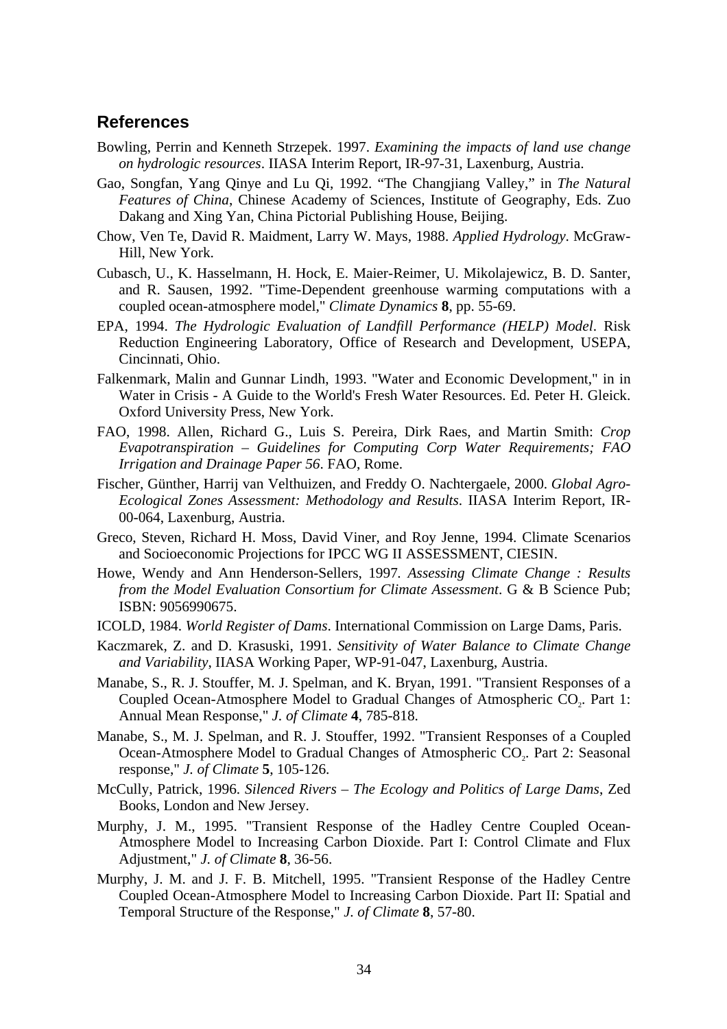## **References**

- Bowling, Perrin and Kenneth Strzepek. 1997. *Examining the impacts of land use change on hydrologic resources*. IIASA Interim Report, IR-97-31, Laxenburg, Austria.
- Gao, Songfan, Yang Qinye and Lu Qi, 1992. "The Changjiang Valley," in *The Natural Features of China*, Chinese Academy of Sciences, Institute of Geography, Eds. Zuo Dakang and Xing Yan, China Pictorial Publishing House, Beijing.
- Chow, Ven Te, David R. Maidment, Larry W. Mays, 1988. *Applied Hydrology*. McGraw-Hill, New York.
- Cubasch, U., K. Hasselmann, H. Hock, E. Maier-Reimer, U. Mikolajewicz, B. D. Santer, and R. Sausen, 1992. "Time-Dependent greenhouse warming computations with a coupled ocean-atmosphere model," *Climate Dynamics* **8**, pp. 55-69.
- EPA, 1994. *The Hydrologic Evaluation of Landfill Performance (HELP) Model*. Risk Reduction Engineering Laboratory, Office of Research and Development, USEPA, Cincinnati, Ohio.
- Falkenmark, Malin and Gunnar Lindh, 1993. "Water and Economic Development," in in Water in Crisis - A Guide to the World's Fresh Water Resources. Ed. Peter H. Gleick. Oxford University Press, New York.
- FAO, 1998. Allen, Richard G., Luis S. Pereira, Dirk Raes, and Martin Smith: *Crop Evapotranspiration – Guidelines for Computing Corp Water Requirements; FAO Irrigation and Drainage Paper 56*. FAO, Rome.
- Fischer, Günther, Harrij van Velthuizen, and Freddy O. Nachtergaele, 2000. *Global Agro-Ecological Zones Assessment: Methodology and Results*. IIASA Interim Report, IR-00-064, Laxenburg, Austria.
- Greco, Steven, Richard H. Moss, David Viner, and Roy Jenne, 1994. Climate Scenarios and Socioeconomic Projections for IPCC WG II ASSESSMENT, CIESIN.
- Howe, Wendy and Ann Henderson-Sellers, 1997*. Assessing Climate Change : Results from the Model Evaluation Consortium for Climate Assessment*. G & B Science Pub; ISBN: 9056990675.
- ICOLD, 1984. *World Register of Dams*. International Commission on Large Dams, Paris.
- Kaczmarek, Z. and D. Krasuski, 1991. *Sensitivity of Water Balance to Climate Change and Variability*, IIASA Working Paper, WP-91-047, Laxenburg, Austria.
- Manabe, S., R. J. Stouffer, M. J. Spelman, and K. Bryan, 1991. "Transient Responses of a Coupled Ocean-Atmosphere Model to Gradual Changes of Atmospheric CO<sub>2</sub>. Part 1: Annual Mean Response," *J. of Climate* **4**, 785-818.
- Manabe, S., M. J. Spelman, and R. J. Stouffer, 1992. "Transient Responses of a Coupled Ocean-Atmosphere Model to Gradual Changes of Atmospheric CO<sub>2</sub>. Part 2: Seasonal response," *J. of Climate* **5**, 105-126.
- McCully, Patrick, 1996. *Silenced Rivers The Ecology and Politics of Large Dams*, Zed Books, London and New Jersey.
- Murphy, J. M., 1995. "Transient Response of the Hadley Centre Coupled Ocean-Atmosphere Model to Increasing Carbon Dioxide. Part I: Control Climate and Flux Adjustment," *J. of Climate* **8**, 36-56.
- Murphy, J. M. and J. F. B. Mitchell, 1995. "Transient Response of the Hadley Centre Coupled Ocean-Atmosphere Model to Increasing Carbon Dioxide. Part II: Spatial and Temporal Structure of the Response," *J. of Climate* **8**, 57-80.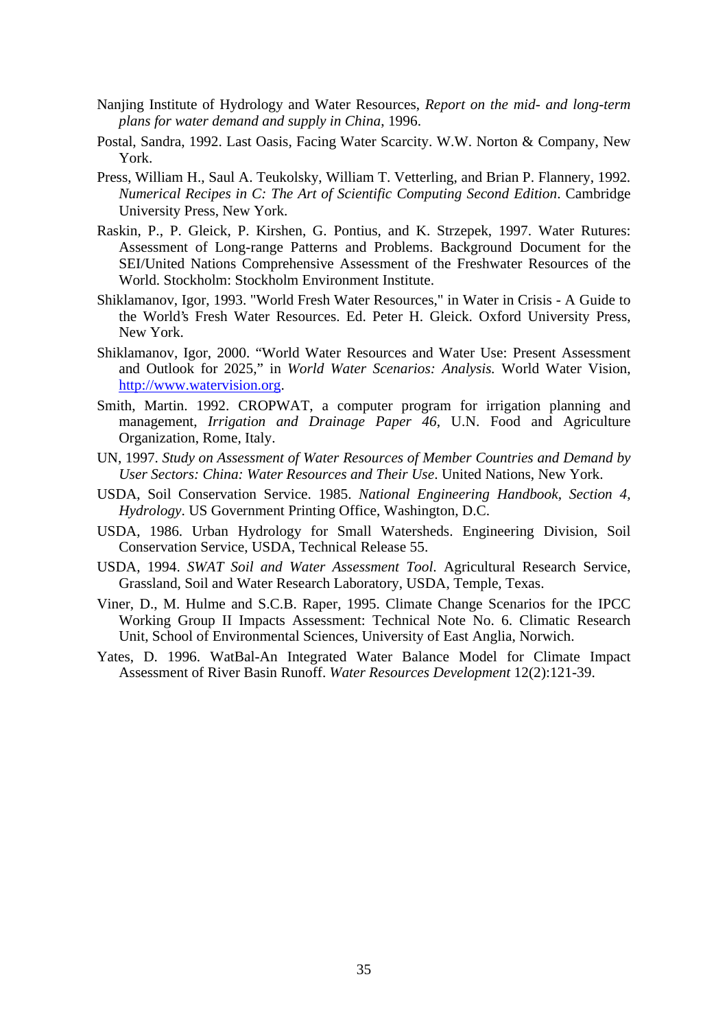- Nanjing Institute of Hydrology and Water Resources, *Report on the mid- and long-term plans for water demand and supply in China*, 1996.
- Postal, Sandra, 1992. Last Oasis, Facing Water Scarcity. W.W. Norton & Company, New York.
- Press, William H., Saul A. Teukolsky, William T. Vetterling, and Brian P. Flannery, 1992*. Numerical Recipes in C: The Art of Scientific Computing Second Edition*. Cambridge University Press, New York.
- Raskin, P., P. Gleick, P. Kirshen, G. Pontius, and K. Strzepek, 1997. Water Rutures: Assessment of Long-range Patterns and Problems. Background Document for the SEI/United Nations Comprehensive Assessment of the Freshwater Resources of the World. Stockholm: Stockholm Environment Institute.
- Shiklamanov, Igor, 1993. "World Fresh Water Resources," in Water in Crisis A Guide to the World's Fresh Water Resources. Ed. Peter H. Gleick. Oxford University Press, New York.
- Shiklamanov, Igor, 2000. "World Water Resources and Water Use: Present Assessment and Outlook for 2025," in *World Water Scenarios: Analysis.* World Water Vision, http://www.watervision.org.
- Smith, Martin. 1992. CROPWAT, a computer program for irrigation planning and management, *Irrigation and Drainage Paper 46*, U.N. Food and Agriculture Organization, Rome, Italy.
- UN, 1997. *Study on Assessment of Water Resources of Member Countries and Demand by User Sectors: China: Water Resources and Their Use*. United Nations, New York.
- USDA, Soil Conservation Service. 1985. *National Engineering Handbook, Section 4, Hydrology*. US Government Printing Office, Washington, D.C.
- USDA, 1986. Urban Hydrology for Small Watersheds. Engineering Division, Soil Conservation Service, USDA, Technical Release 55.
- USDA, 1994. *SWAT Soil and Water Assessment Tool*. Agricultural Research Service, Grassland, Soil and Water Research Laboratory, USDA, Temple, Texas.
- Viner, D., M. Hulme and S.C.B. Raper, 1995. Climate Change Scenarios for the IPCC Working Group II Impacts Assessment: Technical Note No. 6. Climatic Research Unit, School of Environmental Sciences, University of East Anglia, Norwich.
- Yates, D. 1996. WatBal-An Integrated Water Balance Model for Climate Impact Assessment of River Basin Runoff. *Water Resources Development* 12(2):121-39.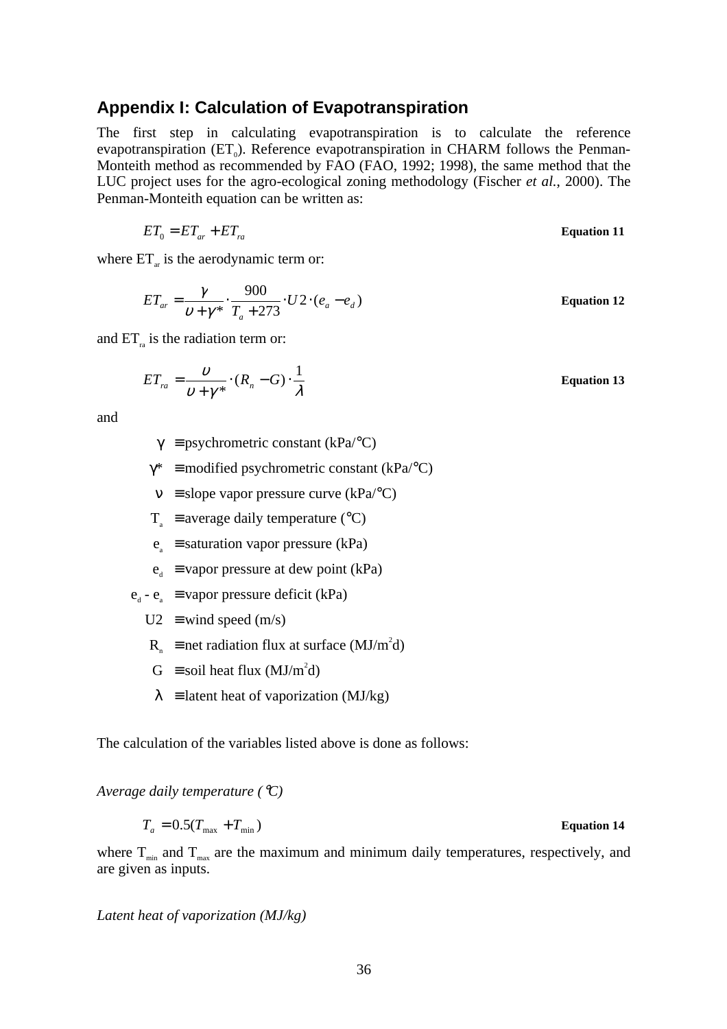## **Appendix I: Calculation of Evapotranspiration**

The first step in calculating evapotranspiration is to calculate the reference evapotranspiration  $(ET_0)$ . Reference evapotranspiration in CHARM follows the Penman-Monteith method as recommended by FAO (FAO, 1992; 1998), the same method that the LUC project uses for the agro-ecological zoning methodology (Fischer *et al.*, 2000). The Penman-Monteith equation can be written as:

$$
ET_0 = ET_{ar} + ET_{ra}
$$
 Equation 11

where  $ET_{ar}$  is the aerodynamic term or:

$$
ET_{ar} = \frac{\gamma}{\nu + \gamma^*} \cdot \frac{900}{T_a + 273} \cdot U \cdot (e_a - e_d)
$$
 Equation 12

and  $ET_{n}$  is the radiation term or:

$$
ET_{ra} = \frac{\nu}{\nu + \gamma^*} \cdot (R_n - G) \cdot \frac{1}{\lambda}
$$
 Equation 13

and

 $\gamma$  = psychrometric constant (kPa/°C)

 $\gamma^*$  = modified psychrometric constant (kPa/°C)

 $v =$  slope vapor pressure curve (kPa/°C)

 $T_a$  ≡ average daily temperature (°C)

 $e_a$  ≡ saturation vapor pressure (kPa)

 $e_{d}$  ≡ vapor pressure at dew point (kPa)

 $e_a - e_a$  = vapor pressure deficit (kPa)

 $U2 \equiv$  wind speed (m/s)

 $R_n$  = net radiation flux at surface (MJ/m<sup>2</sup>d)

 $G \equiv$  soil heat flux (MJ/m<sup>2</sup>d)

 $\lambda$  = latent heat of vaporization (MJ/kg)

The calculation of the variables listed above is done as follows:

*Average daily temperature (*°*C)*

$$
T_a = 0.5(T_{\text{max}} + T_{\text{min}})
$$
 **Equation 14**

where  $T_{\text{min}}$  and  $T_{\text{max}}$  are the maximum and minimum daily temperatures, respectively, and are given as inputs.

*Latent heat of vaporization (MJ/kg)*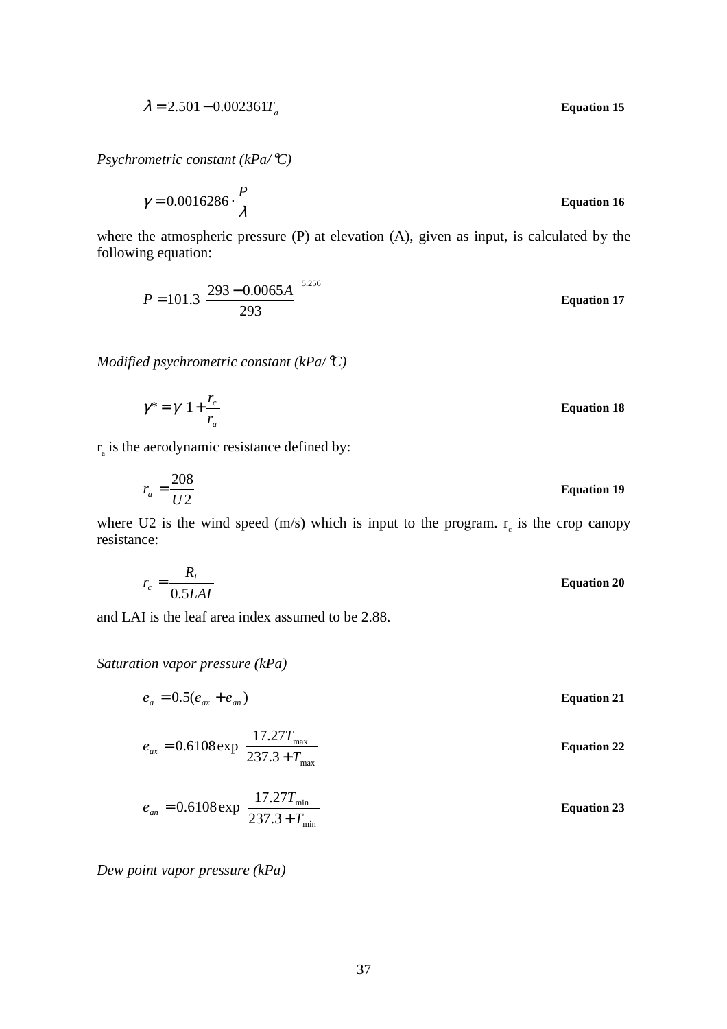$$
\lambda = 2.501 - 0.002361T_a
$$
 Equation 15

*Psychrometric constant (kPa/*°*C)*

$$
\gamma = 0.0016286 \cdot \frac{P}{\lambda}
$$
 Equation 16

where the atmospheric pressure (P) at elevation (A), given as input, is calculated by the following equation:

$$
P = 101.3 \left(\frac{293 - 0.0065A}{293}\right)^{5.256}
$$
 Equation 17

*Modified psychrometric constant (kPa/*°*C)*

$$
\gamma^* = \gamma \left( 1 + \frac{r_c}{r_a} \right) \tag{Equation 18}
$$

 $r_a$  is the aerodynamic resistance defined by:

$$
r_a = \frac{208}{U2}
$$
 Equation 19

where U2 is the wind speed  $(m/s)$  which is input to the program.  $r_c$  is the crop canopy resistance:

$$
r_c = \frac{R_l}{0.5LAI}
$$
 Equation 20

and LAI is the leaf area index assumed to be 2.88.

#### *Saturation vapor pressure (kPa)*

$$
e_{a} = 0.5(e_{ax} + e_{an})
$$
  
\n
$$
e_{ax} = 0.6108 \exp\left(\frac{17.27T_{max}}{237.3 + T_{max}}\right)
$$
  
\n
$$
e_{an} = 0.6108 \exp\left(\frac{17.27T_{min}}{237.3 + T_{min}}\right)
$$
  
\nEquation 22  
\nEquation 23  
\nEquation 23

*Dew point vapor pressure (kPa)*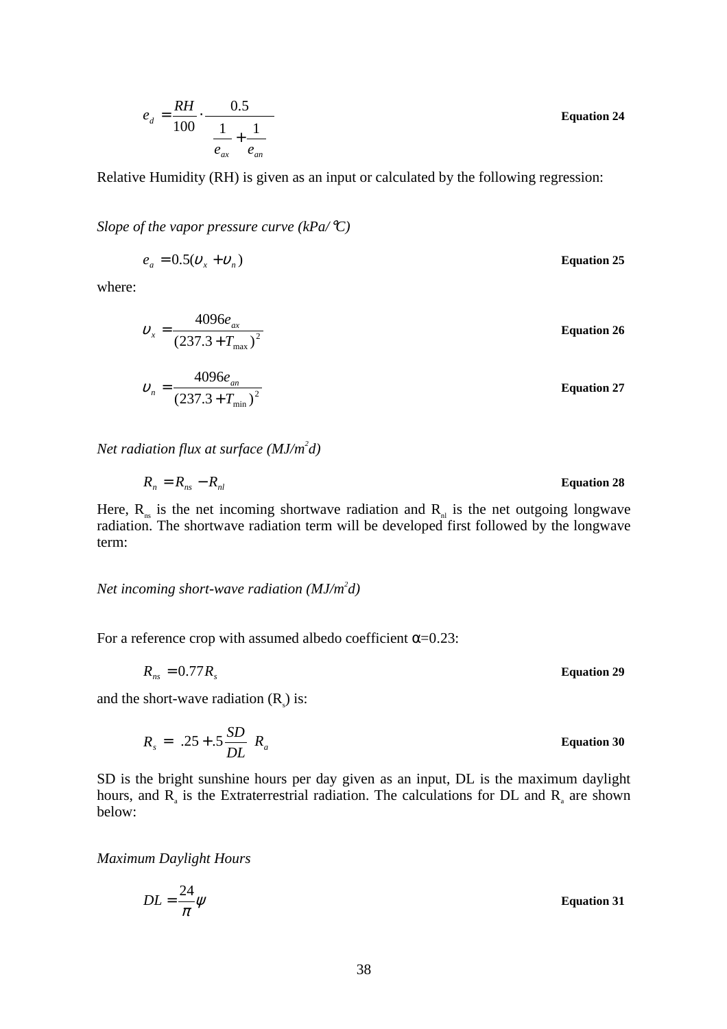$\overline{\phantom{a}}$  $\overline{a}$ I l  $\left(\frac{1}{-}\right)$  $=\frac{101}{100}$ . *ax an d*  $e_{ax}$  *e*  $e_d = \frac{RH}{100}$ 1 1 0.5  $\frac{100}{100}$   $\frac{1}{\left(1 \ 1 \right)}$  Equation 24

Relative Humidity (RH) is given as an input or calculated by the following regression:

*Slope of the vapor pressure curve (kPa/*°*C)*

 $e_a = 0.5(v_x + v_n)$  Equation 25

where:

$$
v_x = \frac{4096e_{ax}}{(237.3 + T_{max})^2}
$$
 Equation 26  

$$
v_n = \frac{4096e_{an}}{(237.3 + T_{min})^2}
$$
Equation 27

*Net radiation flux at surface (MJ/m<sup>2</sup> d)*

$$
R_n = R_{ns} - R_{nl}
$$
 Equation 28

Here,  $R_{ns}$  is the net incoming shortwave radiation and  $R_{nl}$  is the net outgoing longwave radiation. The shortwave radiation term will be developed first followed by the longwave term:

*Net incoming short-wave radiation (MJ/m2 d)*

For a reference crop with assumed albedo coefficient  $\alpha$ =0.23:

 $R_{ns} = 0.77 R_s$  Equation 29

and the short-wave radiation  $(R_s)$  is:

 $R_s = \left( .25 + .5 \frac{SD}{DL} \right) R_a$ 

 $\left( .25 + .5 \frac{\text{SD}}{\text{DI}} \right)$ 

 $\bigg)$ 

SD is the bright sunshine hours per day given as an input, DL is the maximum daylight hours, and  $R_{a}$  is the Extraterrestrial radiation. The calculations for DL and  $R_{a}$  are shown below:

 $=\left( .25 + .5 \frac{SD}{\sqrt{2}} \right) R_a$  Equation 30

*Maximum Daylight Hours*

l

$$
DL = \frac{24}{\pi} \psi
$$
 Equation 31

38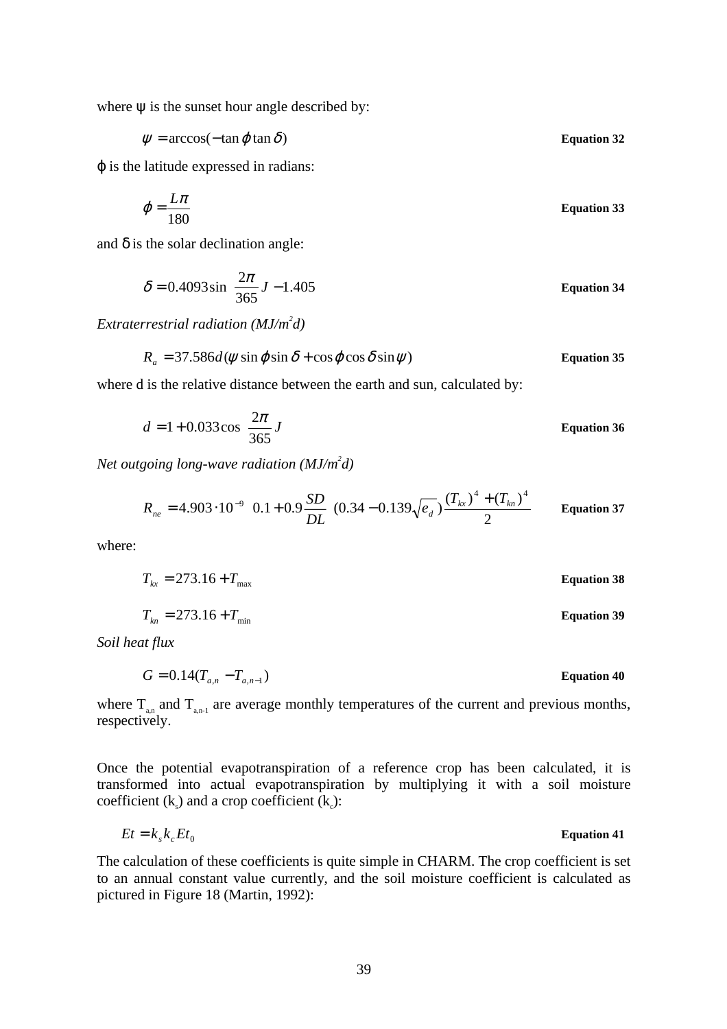where  $\psi$  is the sunset hour angle described by:

$$
\psi = \arccos(-\tan\varphi\tan\delta)
$$
 Equation 32

ϕ is the latitude expressed in radians:

$$
\varphi = \frac{L\pi}{180}
$$
 Equation 33

and  $\delta$  is the solar declination angle:

$$
\delta = 0.4093 \sin \left( \frac{2\pi}{365} J - 1.405 \right)
$$
 Equation 34

*Extraterrestrial radiation (MJ/m2 d)*

$$
R_a = 37.586d(\psi \sin \varphi \sin \delta + \cos \varphi \cos \delta \sin \psi)
$$
 Equation 35

where d is the relative distance between the earth and sun, calculated by:

$$
d = 1 + 0.033 \cos\left(\frac{2\pi}{365}J\right)
$$
 Equation 36

*Net outgoing long-wave radiation (MJ/m2 d)*

$$
R_{ne} = 4.903 \cdot 10^{-9} \left( 0.1 + 0.9 \frac{SD}{DL} \right) (0.34 - 0.139 \sqrt{e_d}) \frac{(T_{tx})^4 + (T_{kn})^4}{2}
$$
 Equation 37

where:

$$
T_{kx} = 273.16 + T_{\text{max}}
$$
 Equation 38

$$
T_{kn} = 273.16 + T_{min}
$$
 **Equation 39**

*Soil heat flux*

$$
G = 0.14(T_{a,n} - T_{a,n-1})
$$
 Equation 40

where  $T_{a,n}$  and  $T_{a,n-1}$  are average monthly temperatures of the current and previous months, respectively.

Once the potential evapotranspiration of a reference crop has been calculated, it is transformed into actual evapotranspiration by multiplying it with a soil moisture coefficient  $(k<sub>s</sub>)$  and a crop coefficient  $(k<sub>c</sub>)$ :

$$
Et = k_s k_c E t_0
$$
 Equation 41

The calculation of these coefficients is quite simple in CHARM. The crop coefficient is set to an annual constant value currently, and the soil moisture coefficient is calculated as pictured in Figure 18 (Martin, 1992):

$$
f_{\rm{max}}
$$